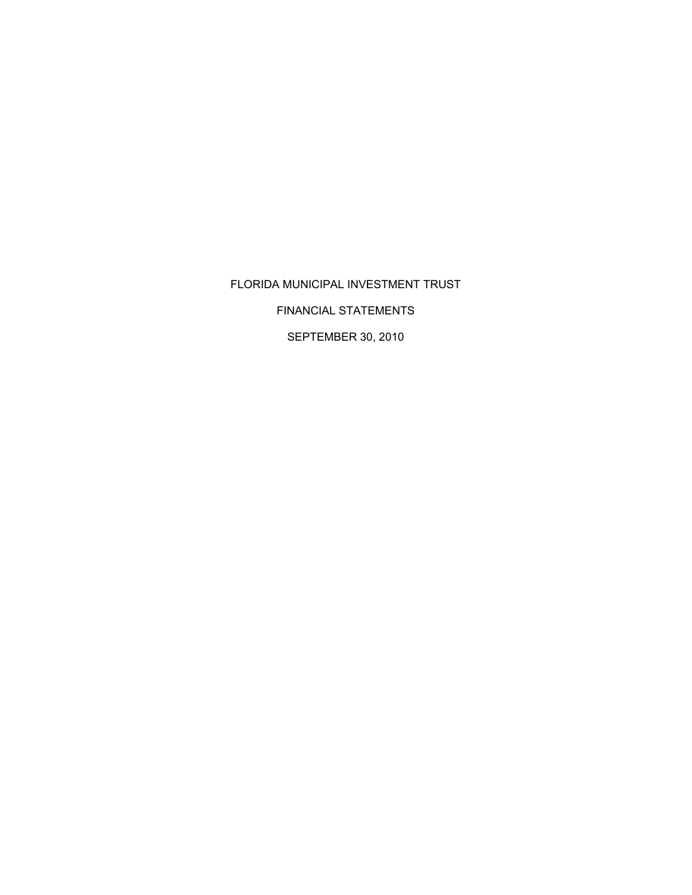# FLORIDA MUNICIPAL INVESTMENT TRUST

FINANCIAL STATEMENTS

SEPTEMBER 30, 2010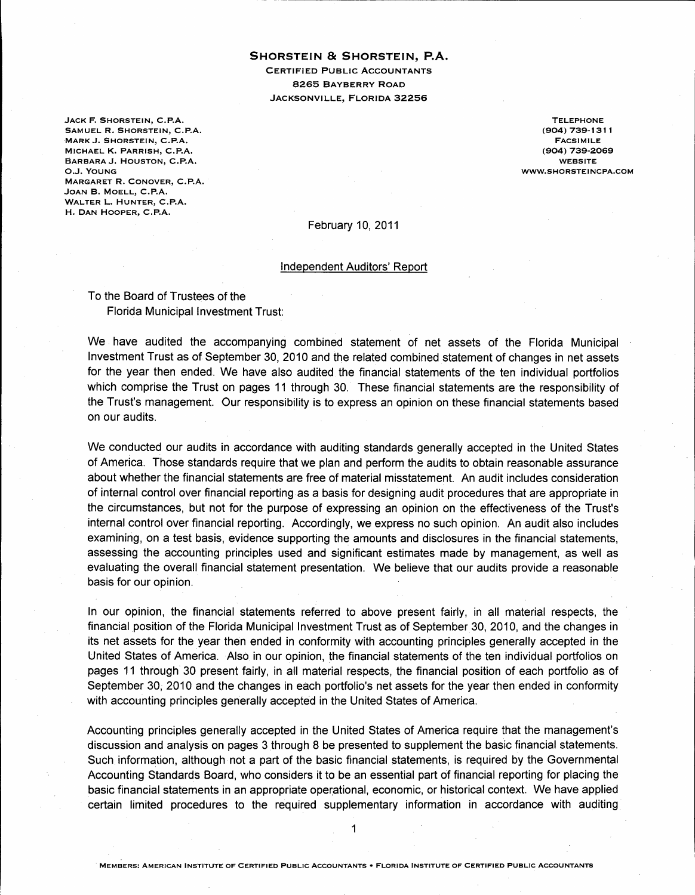SHORSTEIN & SHORSTEIN, P.A. CERTIFIED PUBLIC ACCOUNTANTS 8265 BAYBERRY ROAD JACKSONVILLE, FLORIDA 32256

JACK F. SHORSTEIN, C.P.A. SAMUEL R. SHORSTEIN, C.P.A. MARK J. SHORSTEIN, C.P.A. MICHAEL K. PARRISH, C.P.A. BARBARA J. HOUSTON, C.P.A. O.J. YOUNG MARGARET R. CONOVER, C.P.A. JOAN B. MOELL, C.P.A. WALTER L. HUNTER, C.P.A. H. DAN HOOPER, C.P.A.

TELEPHONE (904) 739-1311 FACSIMILE (904) 739-2069 WEBSITE WWW.SHORSTEINCPA.COM

February 10, 2011

#### Independent Auditors' Report

To the Board of Trustees of the

Florida Municipal Investment Trust:

We have audited the accompanying combined statement of net assets of the Florida Municipal Investment Trust as of September 30, 2010 and the related combined statement of changes in net assets for the year then ended. We have also audited the financial statements of the ten individual portfolios which comprise the Trust on pages 11 through 30. These financial statements are the responsibility of the Trust's management. Our responsibility is to express an opinion on these financial statements based on our audits.

We conducted our audits in accordance with auditing standards generally accepted in the United States of America. Those standards require that we plan and perform the audits to obtain reasonable assurance about whether the financial statements are free of material misstatement. An audit includes consideration of internal control over financial reporting as a basis for designing audit procedures that are appropriate in the circumstances, but not for the purpose of expressing an opinion on the effectiveness of the Trust's internal control over financial reporting. Accordingly, we express no such opinion. An audit also includes examining, on a test basis, evidence supporting the amounts and disclosures in the financial statements, assessing the accounting principles used and significant estimates made by management, as well as evaluating the overall financial statement presentation. We believe that our audits provide a reasonable basis for our opinion.

In our opinion, the financial statements referred to above present fairly, in all material respects, the financial position of the Florida Municipal Investment Trust as of September 30, 2010, and the changes in its net assets for the year then ended in conformity with accounting principles generally accepted in the United States of America. Also in our opinion, the financial statements of the ten individual portfolios on pages 11 through 30 present fairly, in all material respects, the financial position of each portfolio as of September 30; 2010 and the changes in each portfolio's net assets for the year then ended in conformity with accounting principles generally accepted in the United States of America.

Accounting principles generally accepted in the United States of America require that the management's discussion and analysis on pages 3 through 8 be presented to supplement the basic financial statements. Such information, although not a part of the basic financial statements, is required by the Governmental Accounting Standards Board, who considers it to be an essential part of financial reporting for placing the basic financial statements in an appropriate operational, economic, or historical context. We have applied certain limited procedures to the required supplementary information in accordance with auditing

1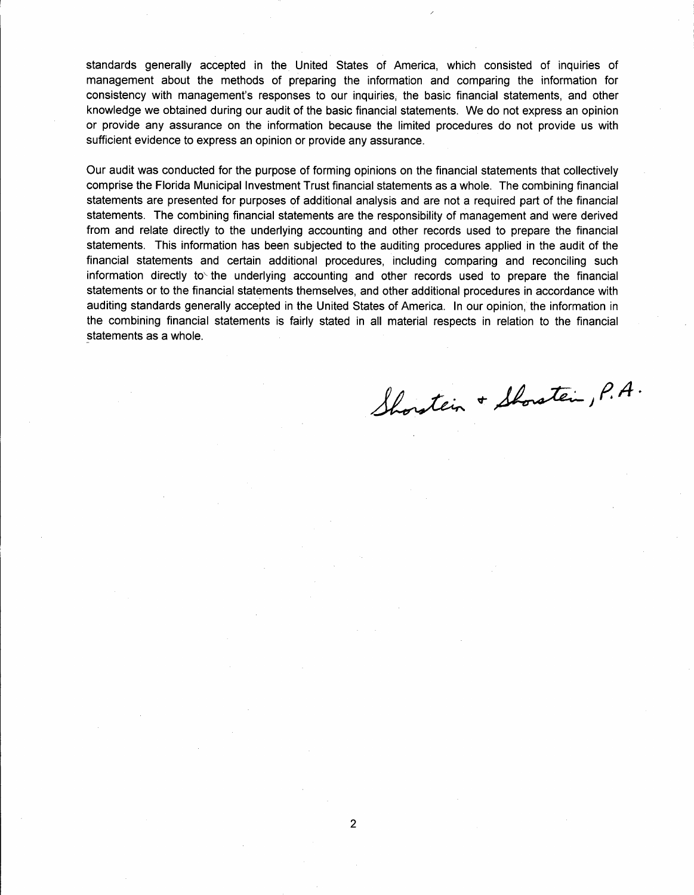standards generally accepted in the United States of America, which consisted of inquiries of management about the methods of preparing the information and comparing the information for consistency with management's responses to our inquiries, the basic financial statements, and other knowledge we obtained during our audit of the basic financial statements. We do not express an opinion or provide any assurance on the information because the limited procedures do not provide us with sufficient evidence to express an opinion or provide any assurance.

Our audit was conducted for the purpose of forming opinions on the financial statements that collectively comprise the Florida Municipal Investment Trust financial statements as a whole. The combining financial statements are presented for purposes of additional analysis and are not a required part of the financial statements. The combining financial statements are the responsibility of management and were derived from and relate directly to the underlying accounting and other records used to prepare the financial statements. This information has been subjected to the auditing procedures applied in the audit of the financial statements and certain additional procedures, including comparing and reconciling such information directly to'the underlying accounting and other records used to prepare the financial statements or to the financial statements themselves, and other additional procedures in accordance with auditing standards generally accepted in the United States of America. In our opinion, the information in the combining financial statements is fairly stated in all material respects in relation to the financial statements as a whole.

Shoratein + Shoratein, P.A.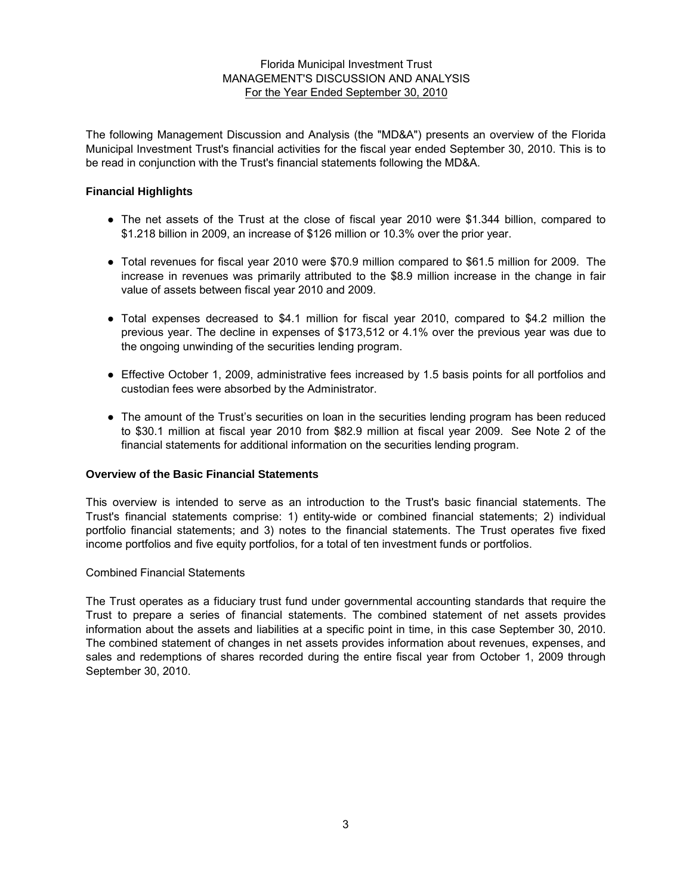The following Management Discussion and Analysis (the "MD&A") presents an overview of the Florida Municipal Investment Trust's financial activities for the fiscal year ended September 30, 2010. This is to be read in conjunction with the Trust's financial statements following the MD&A.

## **Financial Highlights**

- The net assets of the Trust at the close of fiscal year 2010 were \$1.344 billion, compared to \$1.218 billion in 2009, an increase of \$126 million or 10.3% over the prior year.
- Total revenues for fiscal year 2010 were \$70.9 million compared to \$61.5 million for 2009. The increase in revenues was primarily attributed to the \$8.9 million increase in the change in fair value of assets between fiscal year 2010 and 2009.
- Total expenses decreased to \$4.1 million for fiscal year 2010, compared to \$4.2 million the previous year. The decline in expenses of \$173,512 or 4.1% over the previous year was due to the ongoing unwinding of the securities lending program.
- Effective October 1, 2009, administrative fees increased by 1.5 basis points for all portfolios and custodian fees were absorbed by the Administrator.
- The amount of the Trust's securities on loan in the securities lending program has been reduced to \$30.1 million at fiscal year 2010 from \$82.9 million at fiscal year 2009. See Note 2 of the financial statements for additional information on the securities lending program.

#### **Overview of the Basic Financial Statements**

This overview is intended to serve as an introduction to the Trust's basic financial statements. The Trust's financial statements comprise: 1) entity-wide or combined financial statements; 2) individual portfolio financial statements; and 3) notes to the financial statements. The Trust operates five fixed income portfolios and five equity portfolios, for a total of ten investment funds or portfolios.

#### Combined Financial Statements

The Trust operates as a fiduciary trust fund under governmental accounting standards that require the Trust to prepare a series of financial statements. The combined statement of net assets provides information about the assets and liabilities at a specific point in time, in this case September 30, 2010. The combined statement of changes in net assets provides information about revenues, expenses, and sales and redemptions of shares recorded during the entire fiscal year from October 1, 2009 through September 30, 2010.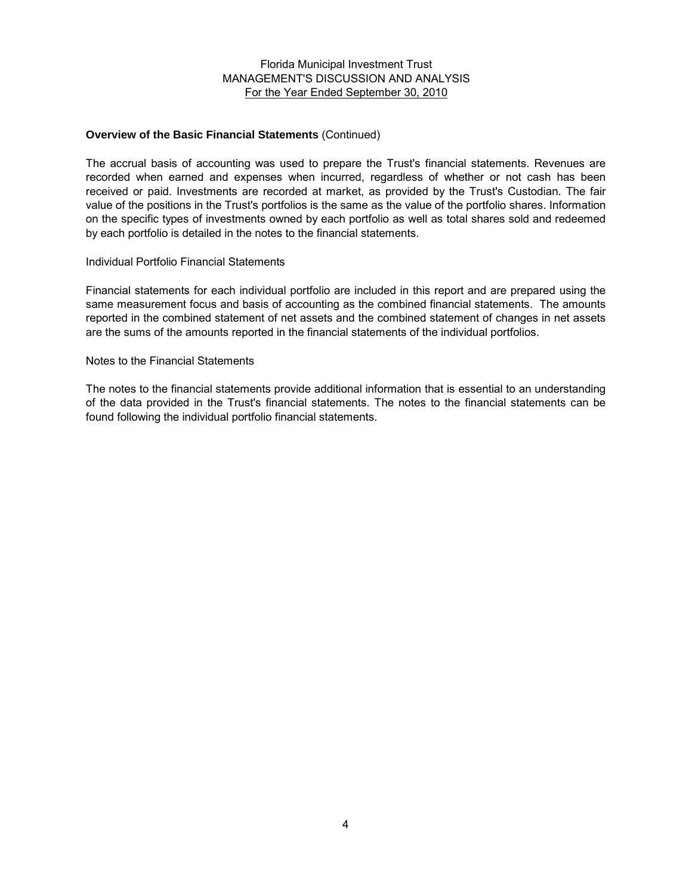## **Overview of the Basic Financial Statements** (Continued)

The accrual basis of accounting was used to prepare the Trust's financial statements. Revenues are recorded when earned and expenses when incurred, regardless of whether or not cash has been received or paid. Investments are recorded at market, as provided by the Trust's Custodian. The fair value of the positions in the Trust's portfolios is the same as the value of the portfolio shares. Information on the specific types of investments owned by each portfolio as well as total shares sold and redeemed by each portfolio is detailed in the notes to the financial statements.

#### Individual Portfolio Financial Statements

Financial statements for each individual portfolio are included in this report and are prepared using the same measurement focus and basis of accounting as the combined financial statements. The amounts reported in the combined statement of net assets and the combined statement of changes in net assets are the sums of the amounts reported in the financial statements of the individual portfolios.

## Notes to the Financial Statements

The notes to the financial statements provide additional information that is essential to an understanding of the data provided in the Trust's financial statements. The notes to the financial statements can be found following the individual portfolio financial statements.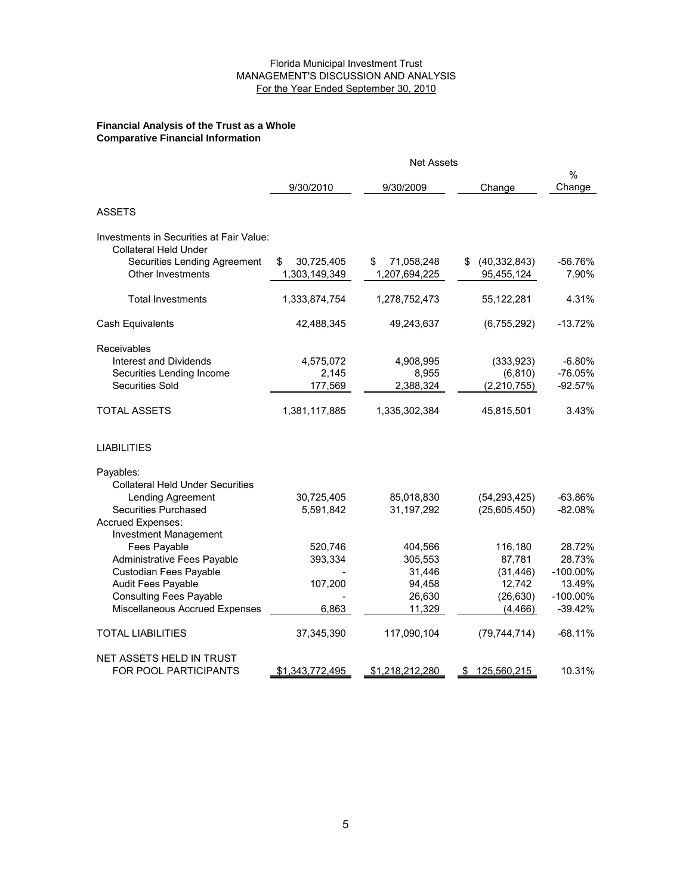#### **Financial Analysis of the Trust as a Whole Comparative Financial Information**

|                                                                          |                                   | <b>Net Assets</b>                 |                                    |                    |
|--------------------------------------------------------------------------|-----------------------------------|-----------------------------------|------------------------------------|--------------------|
|                                                                          | 9/30/2010                         | 9/30/2009                         | Change                             | %<br>Change        |
| <b>ASSETS</b>                                                            |                                   |                                   |                                    |                    |
| Investments in Securities at Fair Value:<br><b>Collateral Held Under</b> |                                   |                                   |                                    |                    |
| Securities Lending Agreement<br>Other Investments                        | 30,725,405<br>\$<br>1,303,149,349 | \$<br>71,058,248<br>1,207,694,225 | (40, 332, 843)<br>\$<br>95,455,124 | $-56.76%$<br>7.90% |
| <b>Total Investments</b>                                                 | 1,333,874,754                     | 1,278,752,473                     | 55,122,281                         | 4.31%              |
| Cash Equivalents                                                         | 42,488,345                        | 49,243,637                        | (6,755,292)                        | $-13.72%$          |
| Receivables                                                              |                                   |                                   |                                    |                    |
| <b>Interest and Dividends</b>                                            | 4,575,072                         | 4,908,995                         | (333, 923)                         | $-6.80%$           |
| Securities Lending Income                                                | 2,145                             | 8,955                             | (6, 810)                           | $-76.05%$          |
| Securities Sold                                                          | 177,569                           | 2,388,324                         | (2, 210, 755)                      | $-92.57%$          |
| <b>TOTAL ASSETS</b>                                                      | 1,381,117,885                     | 1,335,302,384                     | 45,815,501                         | 3.43%              |
| <b>LIABILITIES</b>                                                       |                                   |                                   |                                    |                    |
| Payables:                                                                |                                   |                                   |                                    |                    |
| <b>Collateral Held Under Securities</b>                                  |                                   |                                   |                                    |                    |
| Lending Agreement                                                        | 30,725,405                        | 85,018,830                        | (54, 293, 425)                     | $-63.86%$          |
| Securities Purchased                                                     | 5,591,842                         | 31,197,292                        | (25,605,450)                       | $-82.08%$          |
| Accrued Expenses:                                                        |                                   |                                   |                                    |                    |
| Investment Management                                                    |                                   |                                   |                                    |                    |
| Fees Payable                                                             | 520,746                           | 404,566                           | 116,180                            | 28.72%             |
| Administrative Fees Payable                                              | 393,334                           | 305,553                           | 87,781                             | 28.73%             |
| Custodian Fees Payable                                                   |                                   | 31,446                            | (31, 446)                          | $-100.00\%$        |
| Audit Fees Payable                                                       | 107,200                           | 94,458                            | 12,742                             | 13.49%             |
| <b>Consulting Fees Payable</b>                                           |                                   | 26,630                            | (26, 630)                          | $-100.00\%$        |
| Miscellaneous Accrued Expenses                                           | 6,863                             | 11,329                            | (4, 466)                           | $-39.42%$          |
| <b>TOTAL LIABILITIES</b>                                                 | 37,345,390                        | 117,090,104                       | (79, 744, 714)                     | $-68.11%$          |
| NET ASSETS HELD IN TRUST                                                 |                                   |                                   |                                    |                    |
| <b>FOR POOL PARTICIPANTS</b>                                             | \$1,343,772,495                   | \$1,218,212,280                   | 125,560,215<br>\$.                 | 10.31%             |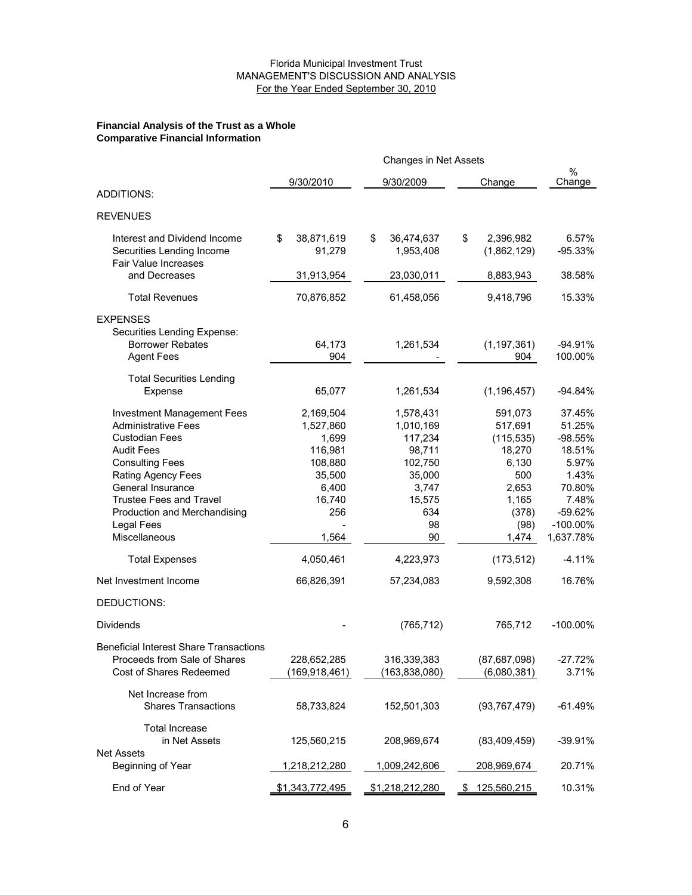#### MANAGEMENT'S DISCUSSION AND ANALYSIS For the Year Ended September 30, 2010 Florida Municipal Investment Trust

#### **Financial Analysis of the Trust as a Whole Comparative Financial Information**

|                                                                                                                                                                                                                                                                                                                                                             |                                                                                                                               | Changes in Net Assets                                                                                                             |                                                                                                                                   |                                                                                                                                         |
|-------------------------------------------------------------------------------------------------------------------------------------------------------------------------------------------------------------------------------------------------------------------------------------------------------------------------------------------------------------|-------------------------------------------------------------------------------------------------------------------------------|-----------------------------------------------------------------------------------------------------------------------------------|-----------------------------------------------------------------------------------------------------------------------------------|-----------------------------------------------------------------------------------------------------------------------------------------|
|                                                                                                                                                                                                                                                                                                                                                             | 9/30/2010                                                                                                                     | 9/30/2009                                                                                                                         | Change                                                                                                                            | $\%$<br>Change                                                                                                                          |
| <b>ADDITIONS:</b>                                                                                                                                                                                                                                                                                                                                           |                                                                                                                               |                                                                                                                                   |                                                                                                                                   |                                                                                                                                         |
| <b>REVENUES</b>                                                                                                                                                                                                                                                                                                                                             |                                                                                                                               |                                                                                                                                   |                                                                                                                                   |                                                                                                                                         |
| Interest and Dividend Income<br>Securities Lending Income<br>Fair Value Increases                                                                                                                                                                                                                                                                           | \$<br>38,871,619<br>91,279                                                                                                    | \$<br>36,474,637<br>1,953,408                                                                                                     | \$<br>2,396,982<br>(1,862,129)                                                                                                    | 6.57%<br>$-95.33%$                                                                                                                      |
| and Decreases                                                                                                                                                                                                                                                                                                                                               | 31,913,954                                                                                                                    | 23,030,011                                                                                                                        | 8,883,943                                                                                                                         | 38.58%                                                                                                                                  |
| <b>Total Revenues</b>                                                                                                                                                                                                                                                                                                                                       | 70,876,852                                                                                                                    | 61,458,056                                                                                                                        | 9,418,796                                                                                                                         | 15.33%                                                                                                                                  |
| <b>EXPENSES</b><br>Securities Lending Expense:<br><b>Borrower Rebates</b>                                                                                                                                                                                                                                                                                   | 64,173                                                                                                                        | 1,261,534                                                                                                                         | (1, 197, 361)                                                                                                                     | $-94.91%$                                                                                                                               |
| <b>Agent Fees</b>                                                                                                                                                                                                                                                                                                                                           | 904                                                                                                                           |                                                                                                                                   | 904                                                                                                                               | 100.00%                                                                                                                                 |
| <b>Total Securities Lending</b><br>Expense                                                                                                                                                                                                                                                                                                                  | 65,077                                                                                                                        | 1,261,534                                                                                                                         | (1, 196, 457)                                                                                                                     | -94.84%                                                                                                                                 |
| <b>Investment Management Fees</b><br><b>Administrative Fees</b><br><b>Custodian Fees</b><br><b>Audit Fees</b><br><b>Consulting Fees</b><br>Rating Agency Fees<br>General Insurance<br><b>Trustee Fees and Travel</b><br>Production and Merchandising<br><b>Legal Fees</b><br>Miscellaneous<br><b>Total Expenses</b><br>Net Investment Income<br>DEDUCTIONS: | 2,169,504<br>1,527,860<br>1,699<br>116,981<br>108,880<br>35,500<br>6,400<br>16,740<br>256<br>1,564<br>4,050,461<br>66,826,391 | 1,578,431<br>1,010,169<br>117,234<br>98,711<br>102,750<br>35,000<br>3,747<br>15,575<br>634<br>98<br>90<br>4,223,973<br>57,234,083 | 591,073<br>517,691<br>(115, 535)<br>18,270<br>6,130<br>500<br>2,653<br>1,165<br>(378)<br>(98)<br>1,474<br>(173, 512)<br>9,592,308 | 37.45%<br>51.25%<br>-98.55%<br>18.51%<br>5.97%<br>1.43%<br>70.80%<br>7.48%<br>-59.62%<br>$-100.00\%$<br>1,637.78%<br>$-4.11%$<br>16.76% |
| <b>Dividends</b>                                                                                                                                                                                                                                                                                                                                            |                                                                                                                               | (765, 712)                                                                                                                        | 765,712                                                                                                                           | $-100.00\%$                                                                                                                             |
| <b>Beneficial Interest Share Transactions</b><br>Proceeds from Sale of Shares<br>Cost of Shares Redeemed                                                                                                                                                                                                                                                    | 228,652,285<br>(169, 918, 461)                                                                                                | 316,339,383<br>(163, 838, 080)                                                                                                    | (87, 687, 098)<br>(6,080,381)                                                                                                     | 27.72%<br>3.71%                                                                                                                         |
| Net Increase from<br><b>Shares Transactions</b>                                                                                                                                                                                                                                                                                                             | 58,733,824                                                                                                                    | 152,501,303                                                                                                                       | (93, 767, 479)                                                                                                                    | $-61.49%$                                                                                                                               |
| <b>Total Increase</b><br>in Net Assets<br><b>Net Assets</b>                                                                                                                                                                                                                                                                                                 | 125,560,215                                                                                                                   | 208,969,674                                                                                                                       | (83, 409, 459)                                                                                                                    | $-39.91%$                                                                                                                               |
| Beginning of Year                                                                                                                                                                                                                                                                                                                                           | 1,218,212,280                                                                                                                 | 1,009,242,606                                                                                                                     | 208,969,674                                                                                                                       | 20.71%                                                                                                                                  |
| End of Year                                                                                                                                                                                                                                                                                                                                                 | \$1,343,772,495                                                                                                               | \$1,218,212,280                                                                                                                   | \$125,560,215                                                                                                                     | 10.31%                                                                                                                                  |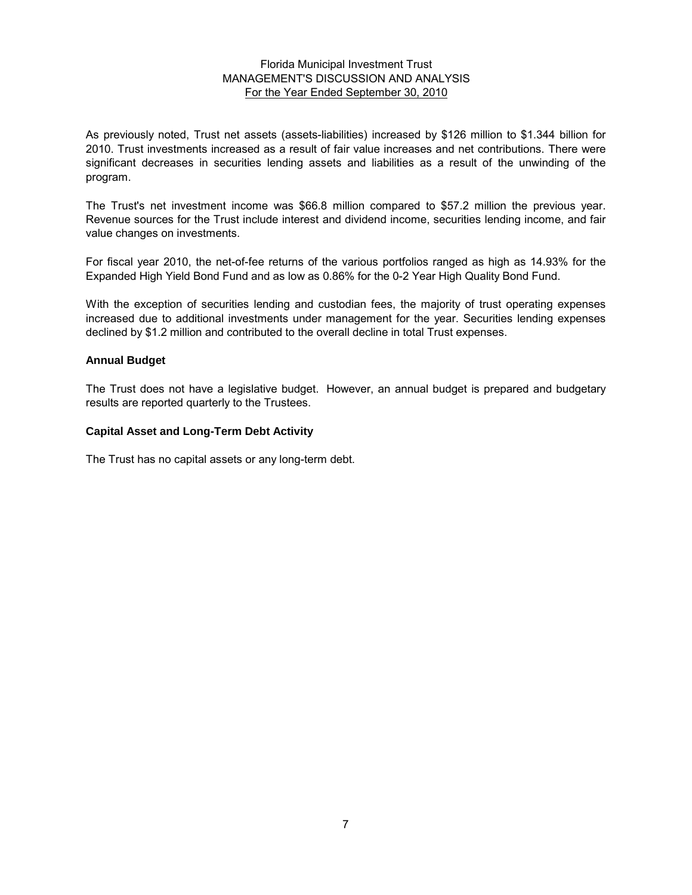As previously noted, Trust net assets (assets-liabilities) increased by \$126 million to \$1.344 billion for 2010. Trust investments increased as a result of fair value increases and net contributions. There were significant decreases in securities lending assets and liabilities as a result of the unwinding of the program.

The Trust's net investment income was \$66.8 million compared to \$57.2 million the previous year. Revenue sources for the Trust include interest and dividend income, securities lending income, and fair value changes on investments.

For fiscal year 2010, the net-of-fee returns of the various portfolios ranged as high as 14.93% for the Expanded High Yield Bond Fund and as low as 0.86% for the 0-2 Year High Quality Bond Fund.

With the exception of securities lending and custodian fees, the majority of trust operating expenses increased due to additional investments under management for the year. Securities lending expenses declined by \$1.2 million and contributed to the overall decline in total Trust expenses.

#### **Annual Budget**

The Trust does not have a legislative budget. However, an annual budget is prepared and budgetary results are reported quarterly to the Trustees.

#### **Capital Asset and Long-Term Debt Activity**

The Trust has no capital assets or any long-term debt.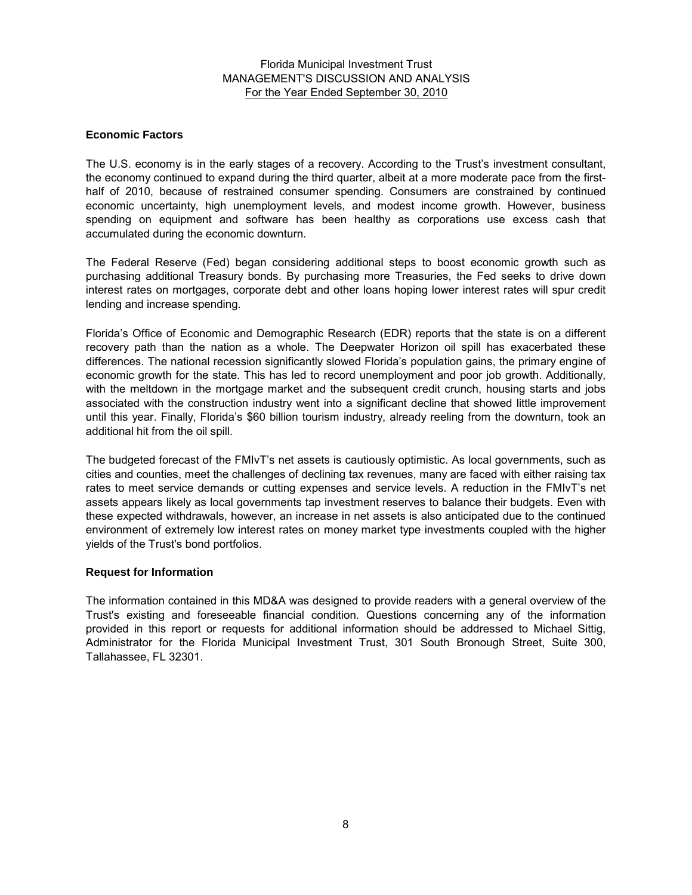## **Economic Factors**

The U.S. economy is in the early stages of a recovery. According to the Trust's investment consultant, the economy continued to expand during the third quarter, albeit at a more moderate pace from the firsthalf of 2010, because of restrained consumer spending. Consumers are constrained by continued economic uncertainty, high unemployment levels, and modest income growth. However, business spending on equipment and software has been healthy as corporations use excess cash that accumulated during the economic downturn.

The Federal Reserve (Fed) began considering additional steps to boost economic growth such as purchasing additional Treasury bonds. By purchasing more Treasuries, the Fed seeks to drive down interest rates on mortgages, corporate debt and other loans hoping lower interest rates will spur credit lending and increase spending.

Florida's Office of Economic and Demographic Research (EDR) reports that the state is on a different recovery path than the nation as a whole. The Deepwater Horizon oil spill has exacerbated these differences. The national recession significantly slowed Florida's population gains, the primary engine of economic growth for the state. This has led to record unemployment and poor job growth. Additionally, with the meltdown in the mortgage market and the subsequent credit crunch, housing starts and jobs associated with the construction industry went into a significant decline that showed little improvement until this year. Finally, Florida's \$60 billion tourism industry, already reeling from the downturn, took an additional hit from the oil spill.

The budgeted forecast of the FMIvT's net assets is cautiously optimistic. As local governments, such as cities and counties, meet the challenges of declining tax revenues, many are faced with either raising tax rates to meet service demands or cutting expenses and service levels. A reduction in the FMIvT's net assets appears likely as local governments tap investment reserves to balance their budgets. Even with these expected withdrawals, however, an increase in net assets is also anticipated due to the continued environment of extremely low interest rates on money market type investments coupled with the higher yields of the Trust's bond portfolios.

#### **Request for Information**

The information contained in this MD&A was designed to provide readers with a general overview of the Trust's existing and foreseeable financial condition. Questions concerning any of the information provided in this report or requests for additional information should be addressed to Michael Sittig, Administrator for the Florida Municipal Investment Trust, 301 South Bronough Street, Suite 300, Tallahassee, FL 32301.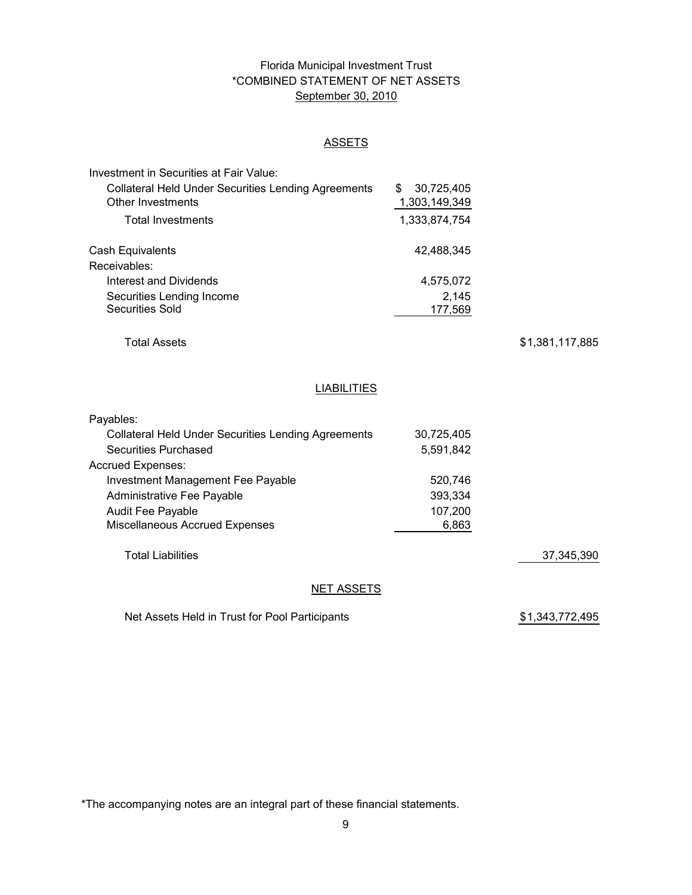# Florida Municipal Investment Trust \*COMBINED STATEMENT OF NET ASSETS September 30, 2010

# **ASSETS**

| Investment in Securities at Fair Value:                    |                  |                 |
|------------------------------------------------------------|------------------|-----------------|
| <b>Collateral Held Under Securities Lending Agreements</b> | 30,725,405<br>\$ |                 |
| Other Investments                                          | 1,303,149,349    |                 |
| <b>Total Investments</b>                                   | 1,333,874,754    |                 |
| <b>Cash Equivalents</b>                                    | 42,488,345       |                 |
| Receivables:                                               |                  |                 |
| <b>Interest and Dividends</b>                              | 4,575,072        |                 |
| Securities Lending Income                                  | 2,145            |                 |
| <b>Securities Sold</b>                                     | 177,569          |                 |
| <b>Total Assets</b>                                        |                  | \$1,381,117,885 |
| <b>LIABILITIES</b>                                         |                  |                 |
| Payables:                                                  |                  |                 |
| <b>Collateral Held Under Securities Lending Agreements</b> | 30,725,405       |                 |
| <b>Securities Purchased</b>                                | 5,591,842        |                 |
| <b>Accrued Expenses:</b>                                   |                  |                 |
| <b>Investment Management Fee Payable</b>                   | 520,746          |                 |
| Administrative Fee Payable                                 | 393,334          |                 |
| Audit Fee Payable                                          | 107,200          |                 |
| Miscellaneous Accrued Expenses                             | 6,863            |                 |
| <b>Total Liabilities</b>                                   |                  | 37,345,390      |
| <b>NET ASSETS</b>                                          |                  |                 |
| Net Assets Held in Trust for Pool Participants             |                  | \$1,343,772,495 |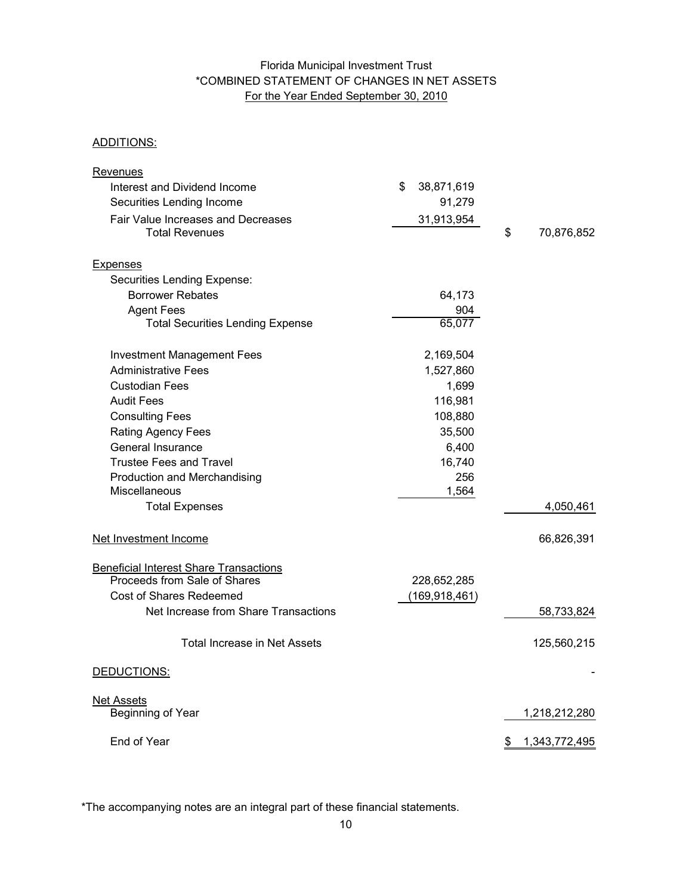# Florida Municipal Investment Trust \*COMBINED STATEMENT OF CHANGES IN NET ASSETS For the Year Ended September 30, 2010

## ADDITIONS:

| Revenues                                                     |                  |     |               |
|--------------------------------------------------------------|------------------|-----|---------------|
| Interest and Dividend Income                                 | \$<br>38,871,619 |     |               |
| Securities Lending Income                                    | 91,279           |     |               |
| <b>Fair Value Increases and Decreases</b>                    | 31,913,954       |     |               |
| <b>Total Revenues</b>                                        |                  | \$  | 70,876,852    |
|                                                              |                  |     |               |
| <b>Expenses</b>                                              |                  |     |               |
| Securities Lending Expense:                                  |                  |     |               |
| <b>Borrower Rebates</b>                                      | 64,173           |     |               |
| <b>Agent Fees</b><br><b>Total Securities Lending Expense</b> | 904<br>65,077    |     |               |
|                                                              |                  |     |               |
| <b>Investment Management Fees</b>                            | 2,169,504        |     |               |
| Administrative Fees                                          | 1,527,860        |     |               |
| <b>Custodian Fees</b>                                        | 1,699            |     |               |
| <b>Audit Fees</b>                                            | 116,981          |     |               |
| <b>Consulting Fees</b>                                       | 108,880          |     |               |
| Rating Agency Fees                                           | 35,500           |     |               |
| General Insurance                                            | 6,400            |     |               |
| <b>Trustee Fees and Travel</b>                               | 16,740           |     |               |
| Production and Merchandising                                 | 256              |     |               |
| Miscellaneous                                                | 1,564            |     |               |
| <b>Total Expenses</b>                                        |                  |     | 4,050,461     |
| Net Investment Income                                        |                  |     | 66,826,391    |
| <b>Beneficial Interest Share Transactions</b>                |                  |     |               |
| Proceeds from Sale of Shares                                 | 228,652,285      |     |               |
| Cost of Shares Redeemed                                      | (169, 918, 461)  |     |               |
| Net Increase from Share Transactions                         |                  |     | 58,733,824    |
| Total Increase in Net Assets                                 |                  |     | 125,560,215   |
| DEDUCTIONS:                                                  |                  |     |               |
|                                                              |                  |     |               |
| <b>Net Assets</b><br>Beginning of Year                       |                  |     | 1,218,212,280 |
|                                                              |                  |     |               |
| End of Year                                                  |                  | \$. | 1,343,772,495 |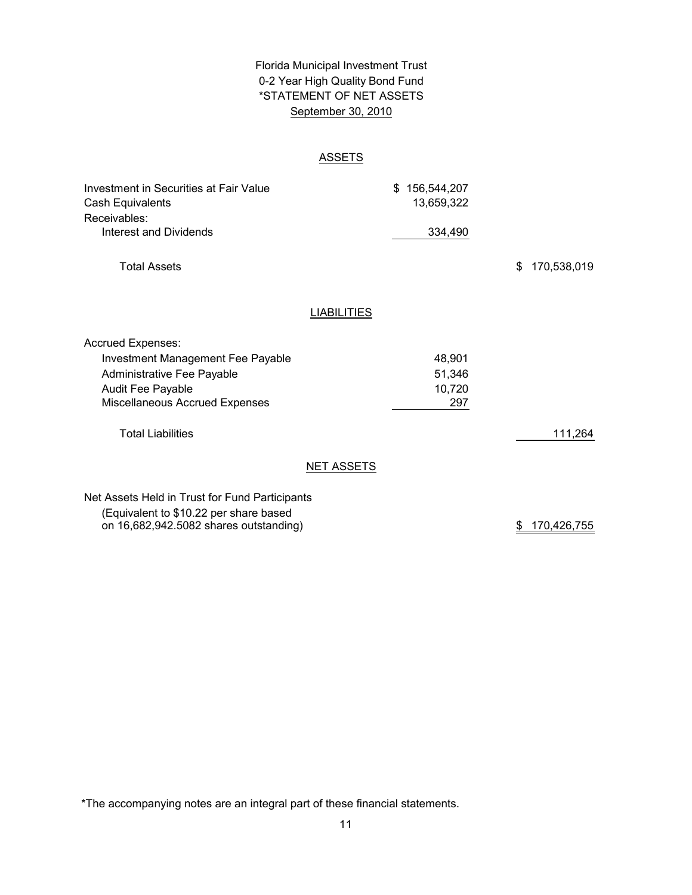# Florida Municipal Investment Trust September 30, 2010 0-2 Year High Quality Bond Fund \*STATEMENT OF NET ASSETS

#### **ASSETS**

| Investment in Securities at Fair Value<br>Cash Equivalents |                    | 156,544,207<br>\$<br>13,659,322 |                   |
|------------------------------------------------------------|--------------------|---------------------------------|-------------------|
| Receivables:                                               |                    |                                 |                   |
| Interest and Dividends                                     |                    | 334,490                         |                   |
| <b>Total Assets</b>                                        |                    |                                 | \$<br>170,538,019 |
|                                                            | <b>LIABILITIES</b> |                                 |                   |
| <b>Accrued Expenses:</b>                                   |                    |                                 |                   |
| <b>Investment Management Fee Payable</b>                   |                    | 48,901                          |                   |
| Administrative Fee Payable                                 |                    | 51,346                          |                   |
| Audit Fee Payable                                          |                    | 10,720                          |                   |
| Miscellaneous Accrued Expenses                             |                    | 297                             |                   |
| <b>Total Liabilities</b>                                   |                    |                                 | 111,264           |
|                                                            | <b>NET ASSETS</b>  |                                 |                   |
| Net Assets Held in Trust for Fund Participants             |                    |                                 |                   |
| (Equivalent to \$10.22 per share based                     |                    |                                 |                   |
| on 16,682,942.5082 shares outstanding)                     |                    |                                 | \$<br>170,426,755 |

on 16,682,942.5082 shares outstanding)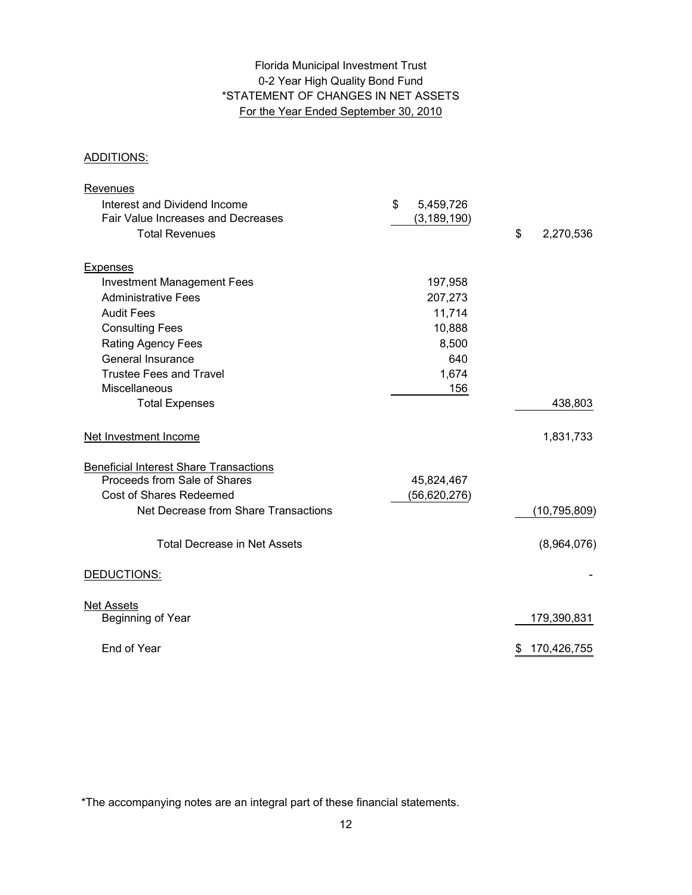# 0-2 Year High Quality Bond Fund \*STATEMENT OF CHANGES IN NET ASSETS For the Year Ended September 30, 2010 Florida Municipal Investment Trust

# ADDITIONS:

| Revenues                                      |                 |                   |
|-----------------------------------------------|-----------------|-------------------|
| Interest and Dividend Income                  | \$<br>5,459,726 |                   |
| <b>Fair Value Increases and Decreases</b>     | (3, 189, 190)   |                   |
| <b>Total Revenues</b>                         |                 | \$<br>2,270,536   |
|                                               |                 |                   |
| <b>Expenses</b>                               |                 |                   |
| <b>Investment Management Fees</b>             | 197,958         |                   |
| <b>Administrative Fees</b>                    | 207,273         |                   |
| <b>Audit Fees</b>                             | 11,714          |                   |
| <b>Consulting Fees</b>                        | 10,888          |                   |
| Rating Agency Fees                            | 8,500           |                   |
| General Insurance                             | 640             |                   |
| <b>Trustee Fees and Travel</b>                | 1,674           |                   |
| Miscellaneous                                 | 156             |                   |
| <b>Total Expenses</b>                         |                 | 438,803           |
| Net Investment Income                         |                 | 1,831,733         |
| <b>Beneficial Interest Share Transactions</b> |                 |                   |
| Proceeds from Sale of Shares                  | 45,824,467      |                   |
| <b>Cost of Shares Redeemed</b>                | (56,620,276)    |                   |
| Net Decrease from Share Transactions          |                 | (10, 795, 809)    |
| <b>Total Decrease in Net Assets</b>           |                 | (8,964,076)       |
| DEDUCTIONS:                                   |                 |                   |
| <b>Net Assets</b>                             |                 |                   |
| Beginning of Year                             |                 | 179,390,831       |
| End of Year                                   |                 | 170,426,755<br>\$ |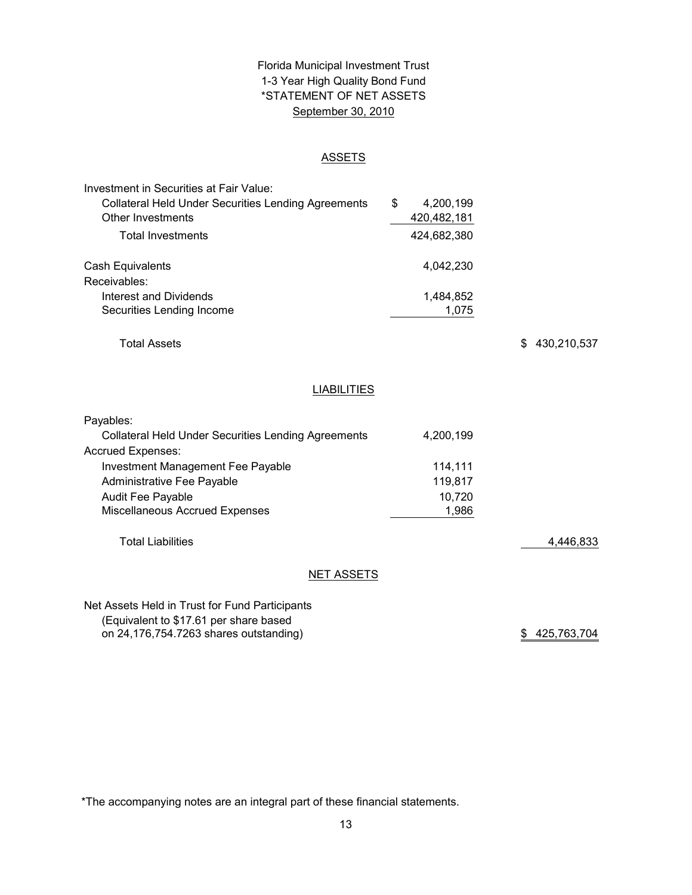# \*STATEMENT OF NET ASSETS Florida Municipal Investment Trust 1-3 Year High Quality Bond Fund September 30, 2010

#### ASSETS

| Investment in Securities at Fair Value:                    |                 |  |
|------------------------------------------------------------|-----------------|--|
| <b>Collateral Held Under Securities Lending Agreements</b> | \$<br>4,200,199 |  |
| Other Investments                                          | 420,482,181     |  |
| <b>Total Investments</b>                                   | 424,682,380     |  |
| Cash Equivalents                                           | 4,042,230       |  |
| Receivables:                                               |                 |  |
| Interest and Dividends                                     | 1,484,852       |  |
| Securities Lending Income                                  | 1.075           |  |

Total Assets

\$ 430,210,537

## **LIABILITIES**

| Payables:                                                  |           |  |
|------------------------------------------------------------|-----------|--|
| <b>Collateral Held Under Securities Lending Agreements</b> | 4,200,199 |  |
| <b>Accrued Expenses:</b>                                   |           |  |
| Investment Management Fee Payable                          | 114,111   |  |
| Administrative Fee Payable                                 | 119,817   |  |
| Audit Fee Payable                                          | 10.720    |  |
| Miscellaneous Accrued Expenses                             | 1,986     |  |
|                                                            |           |  |

Total Liabilities

## 4,446,833

# **NET ASSETS**

Net Assets Held in Trust for Fund Participants (Equivalent to \$17.61 per share based on 24,176,754.7263 shares outstanding) 425,763,704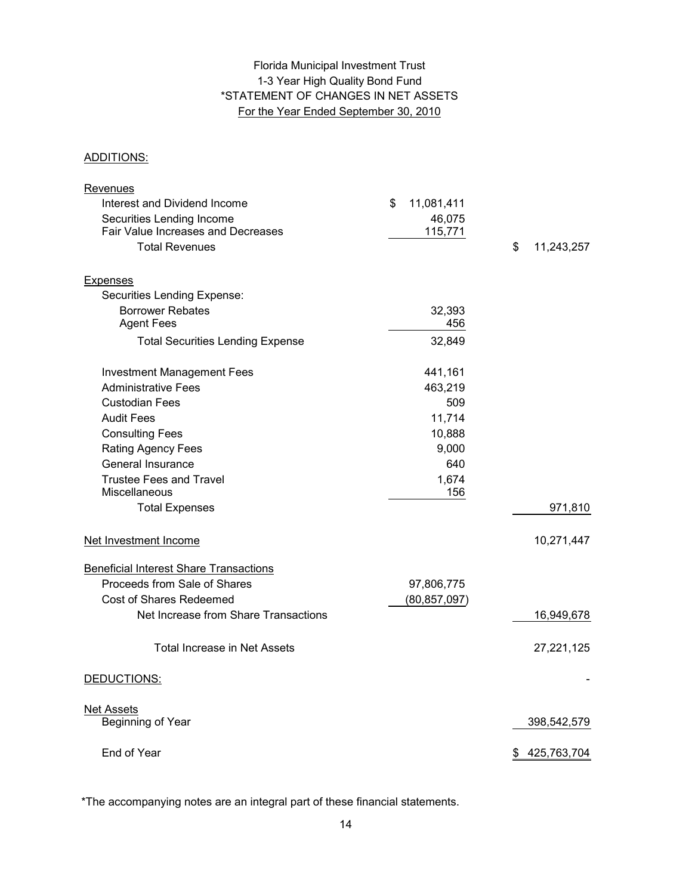# 1-3 Year High Quality Bond Fund \*STATEMENT OF CHANGES IN NET ASSETS For the Year Ended September 30, 2010 Florida Municipal Investment Trust

# ADDITIONS:

| Revenues                                      |                  |                   |
|-----------------------------------------------|------------------|-------------------|
| Interest and Dividend Income                  | \$<br>11,081,411 |                   |
| Securities Lending Income                     | 46,075           |                   |
| <b>Fair Value Increases and Decreases</b>     | 115,771          |                   |
| <b>Total Revenues</b>                         |                  | \$<br>11,243,257  |
| <b>Expenses</b>                               |                  |                   |
| Securities Lending Expense:                   |                  |                   |
| <b>Borrower Rebates</b>                       | 32,393           |                   |
| <b>Agent Fees</b>                             | 456              |                   |
| <b>Total Securities Lending Expense</b>       | 32,849           |                   |
| <b>Investment Management Fees</b>             | 441,161          |                   |
| <b>Administrative Fees</b>                    | 463,219          |                   |
| <b>Custodian Fees</b>                         | 509              |                   |
| <b>Audit Fees</b>                             | 11,714           |                   |
| <b>Consulting Fees</b>                        | 10,888           |                   |
| Rating Agency Fees                            | 9,000            |                   |
| General Insurance                             | 640              |                   |
| <b>Trustee Fees and Travel</b>                | 1,674            |                   |
| Miscellaneous                                 | 156              |                   |
| <b>Total Expenses</b>                         |                  | 971,810           |
| Net Investment Income                         |                  | 10,271,447        |
| <b>Beneficial Interest Share Transactions</b> |                  |                   |
| Proceeds from Sale of Shares                  | 97,806,775       |                   |
| <b>Cost of Shares Redeemed</b>                | (80, 857, 097)   |                   |
| Net Increase from Share Transactions          |                  | 16,949,678        |
| <b>Total Increase in Net Assets</b>           |                  | 27,221,125        |
| DEDUCTIONS:                                   |                  |                   |
| <b>Net Assets</b>                             |                  |                   |
| Beginning of Year                             |                  | 398,542,579       |
| End of Year                                   |                  | 425,763,704<br>\$ |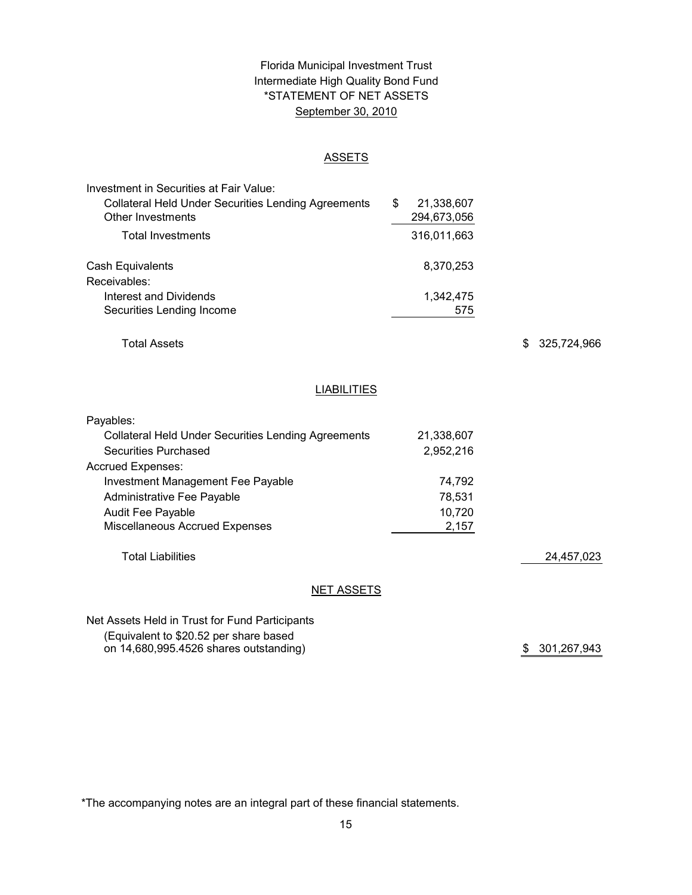# Florida Municipal Investment Trust Intermediate High Quality Bond Fund \*STATEMENT OF NET ASSETS September 30, 2010

#### ASSETS

| <b>Investment in Securities at Fair Value:</b>                                         |                                 |                   |
|----------------------------------------------------------------------------------------|---------------------------------|-------------------|
| <b>Collateral Held Under Securities Lending Agreements</b><br><b>Other Investments</b> | \$<br>21,338,607<br>294,673,056 |                   |
| <b>Total Investments</b>                                                               | 316,011,663                     |                   |
| Cash Equivalents                                                                       | 8,370,253                       |                   |
| Receivables:                                                                           |                                 |                   |
| <b>Interest and Dividends</b>                                                          | 1,342,475                       |                   |
| Securities Lending Income                                                              | 575                             |                   |
| <b>Total Assets</b>                                                                    |                                 | \$<br>325,724,966 |
| <b>LIABILITIES</b>                                                                     |                                 |                   |
| Payables:                                                                              |                                 |                   |
| <b>Collateral Held Under Securities Lending Agreements</b>                             | 21,338,607                      |                   |
| <b>Securities Purchased</b>                                                            | 2,952,216                       |                   |
| <b>Accrued Expenses:</b>                                                               |                                 |                   |
| Investment Management Fee Payable                                                      | 74,792                          |                   |
| Administrative Fee Payable                                                             | 78,531                          |                   |
| Audit Fee Payable                                                                      | 10,720                          |                   |
| Miscellaneous Accrued Expenses                                                         | 2,157                           |                   |
| <b>Total Liabilities</b>                                                               |                                 | 24,457,023        |
| <b>NET ASSETS</b>                                                                      |                                 |                   |
| Net Assets Held in Trust for Fund Participants                                         |                                 |                   |

(Equivalent to \$20.52 per share based on 14,680,995.4526 shares outstanding)

\$ 301,267,943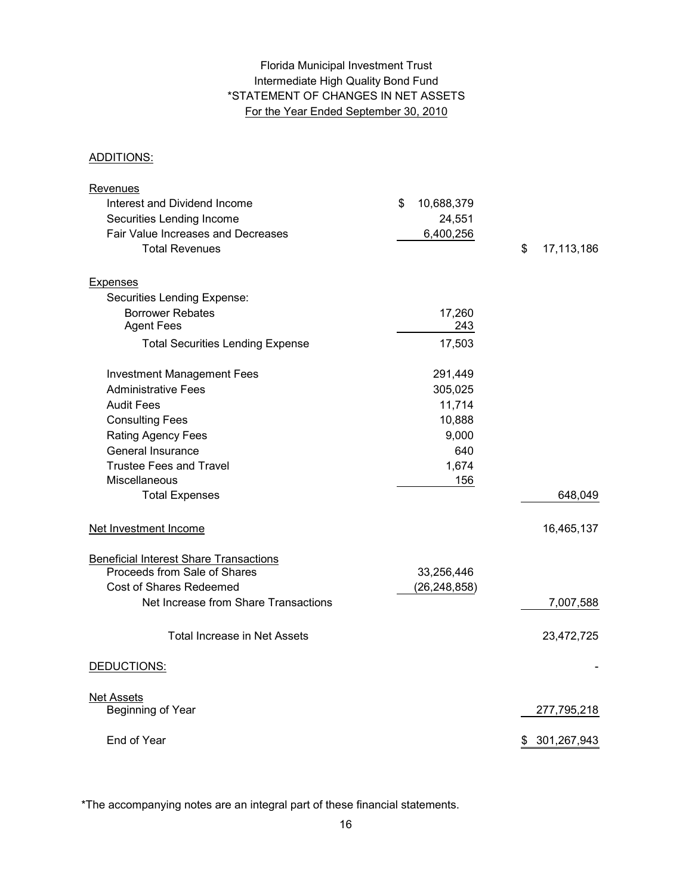# Intermediate High Quality Bond Fund For the Year Ended September 30, 2010 Florida Municipal Investment Trust \*STATEMENT OF CHANGES IN NET ASSETS

# ADDITIONS:

| <b>Revenues</b>                               |                  |                   |
|-----------------------------------------------|------------------|-------------------|
| Interest and Dividend Income                  | \$<br>10,688,379 |                   |
| Securities Lending Income                     | 24,551           |                   |
| Fair Value Increases and Decreases            | 6,400,256        |                   |
| <b>Total Revenues</b>                         |                  | \$<br>17,113,186  |
| <b>Expenses</b>                               |                  |                   |
| Securities Lending Expense:                   |                  |                   |
| <b>Borrower Rebates</b>                       | 17,260           |                   |
| <b>Agent Fees</b>                             | 243              |                   |
| <b>Total Securities Lending Expense</b>       | 17,503           |                   |
| <b>Investment Management Fees</b>             | 291,449          |                   |
| <b>Administrative Fees</b>                    | 305,025          |                   |
| <b>Audit Fees</b>                             | 11,714           |                   |
| <b>Consulting Fees</b>                        | 10,888           |                   |
| Rating Agency Fees                            | 9,000            |                   |
| <b>General Insurance</b>                      | 640              |                   |
| <b>Trustee Fees and Travel</b>                | 1,674            |                   |
| Miscellaneous                                 | 156              |                   |
| <b>Total Expenses</b>                         |                  | 648,049           |
| Net Investment Income                         |                  | 16,465,137        |
| <b>Beneficial Interest Share Transactions</b> |                  |                   |
| Proceeds from Sale of Shares                  | 33,256,446       |                   |
| Cost of Shares Redeemed                       | (26, 248, 858)   |                   |
| Net Increase from Share Transactions          |                  | 7,007,588         |
| <b>Total Increase in Net Assets</b>           |                  | 23,472,725        |
| DEDUCTIONS:                                   |                  |                   |
| <b>Net Assets</b>                             |                  |                   |
| Beginning of Year                             |                  | 277,795,218       |
| End of Year                                   |                  | 301,267,943<br>\$ |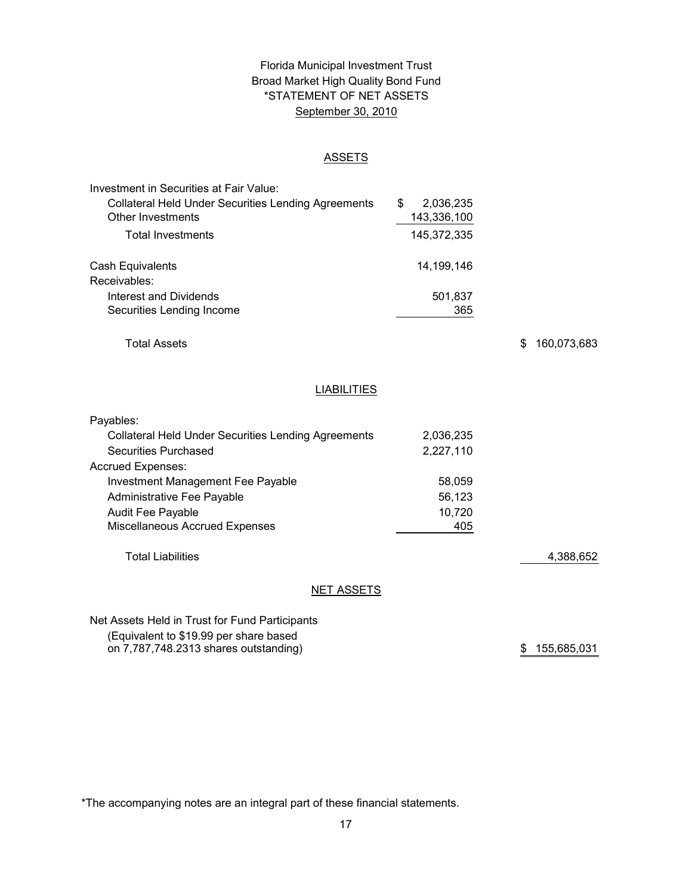# Florida Municipal Investment Trust Broad Market High Quality Bond Fund September 30, 2010 \*STATEMENT OF NET ASSETS

#### ASSETS

| Investment in Securities at Fair Value:                    |                 |                   |
|------------------------------------------------------------|-----------------|-------------------|
| <b>Collateral Held Under Securities Lending Agreements</b> | \$<br>2,036,235 |                   |
| Other Investments                                          | 143,336,100     |                   |
| <b>Total Investments</b>                                   | 145,372,335     |                   |
| Cash Equivalents                                           | 14,199,146      |                   |
| Receivables:                                               |                 |                   |
| Interest and Dividends                                     | 501,837         |                   |
| Securities Lending Income                                  | 365             |                   |
| <b>Total Assets</b>                                        |                 | 160,073,683<br>\$ |
| <b>LIABILITIES</b>                                         |                 |                   |
| Payables:                                                  |                 |                   |
| <b>Collateral Held Under Securities Lending Agreements</b> | 2,036,235       |                   |
| <b>Securities Purchased</b>                                | 2,227,110       |                   |
| <b>Accrued Expenses:</b>                                   |                 |                   |
| Investment Management Fee Payable                          | 58,059          |                   |
| Administrative Fee Payable                                 | 56,123          |                   |
| Audit Fee Payable                                          | 10,720          |                   |
| <b>Miscellaneous Accrued Expenses</b>                      | 405             |                   |

Miscellaneous Accrued Expenses

Total Liabilities

4,388,652

### **NET ASSETS**

Net Assets Held in Trust for Fund Participants (Equivalent to \$19.99 per share based on 7,787,748.2313 shares outstanding)

\$ 155,685,031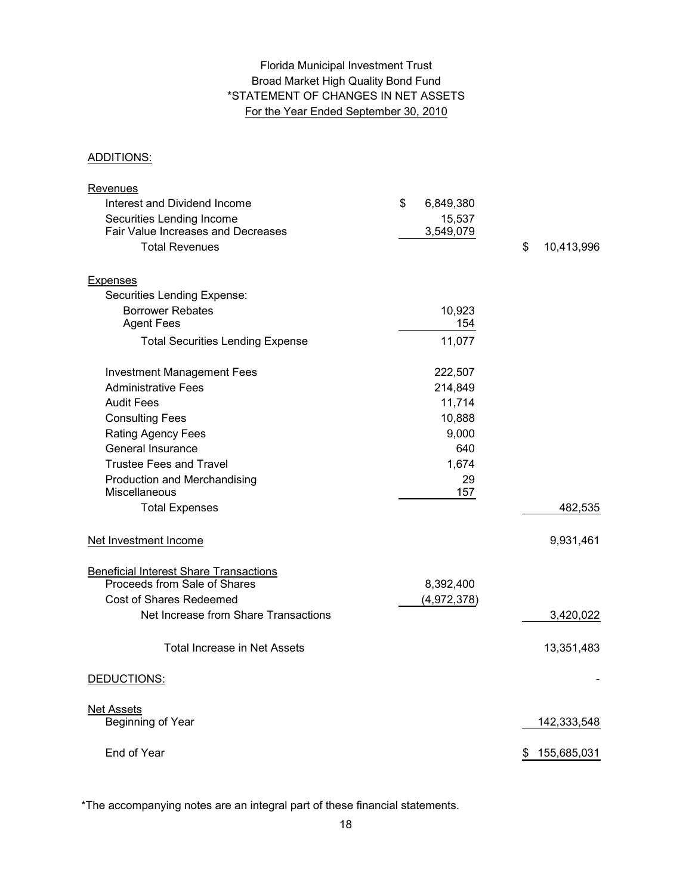# Florida Municipal Investment Trust Broad Market High Quality Bond Fund \*STATEMENT OF CHANGES IN NET ASSETS For the Year Ended September 30, 2010

# ADDITIONS:

| <b>Revenues</b>                               |                 |                  |
|-----------------------------------------------|-----------------|------------------|
| Interest and Dividend Income                  | \$<br>6,849,380 |                  |
| Securities Lending Income                     | 15,537          |                  |
| Fair Value Increases and Decreases            | 3,549,079       |                  |
| <b>Total Revenues</b>                         |                 | \$<br>10,413,996 |
| Expenses                                      |                 |                  |
| Securities Lending Expense:                   |                 |                  |
| <b>Borrower Rebates</b>                       | 10,923          |                  |
| <b>Agent Fees</b>                             | 154             |                  |
| <b>Total Securities Lending Expense</b>       | 11,077          |                  |
| <b>Investment Management Fees</b>             | 222,507         |                  |
| <b>Administrative Fees</b>                    | 214,849         |                  |
| <b>Audit Fees</b>                             | 11,714          |                  |
| <b>Consulting Fees</b>                        | 10,888          |                  |
| Rating Agency Fees                            | 9,000           |                  |
| General Insurance                             | 640             |                  |
| <b>Trustee Fees and Travel</b>                | 1,674           |                  |
| Production and Merchandising                  | 29              |                  |
| Miscellaneous                                 | 157             |                  |
| <b>Total Expenses</b>                         |                 | 482,535          |
| Net Investment Income                         |                 | 9,931,461        |
| <b>Beneficial Interest Share Transactions</b> |                 |                  |
| Proceeds from Sale of Shares                  | 8,392,400       |                  |
| Cost of Shares Redeemed                       | (4,972,378)     |                  |
| Net Increase from Share Transactions          |                 | 3,420,022        |
| Total Increase in Net Assets                  |                 | 13,351,483       |
| DEDUCTIONS:                                   |                 |                  |
| <b>Net Assets</b>                             |                 |                  |
| Beginning of Year                             |                 | 142,333,548      |
| End of Year                                   |                 | \$155,685,031    |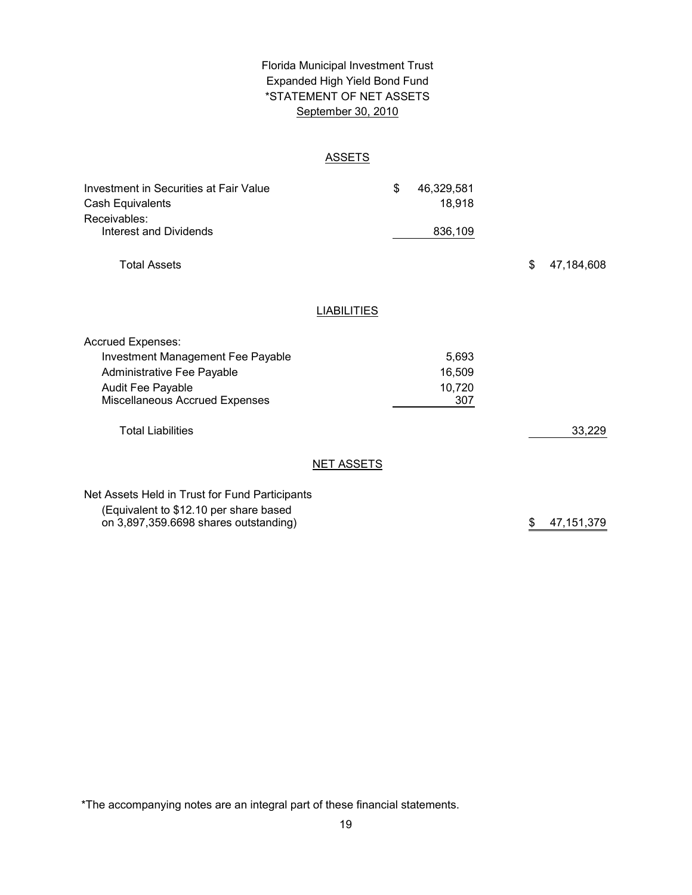# \*STATEMENT OF NET ASSETS Florida Municipal Investment Trust Expanded High Yield Bond Fund September 30, 2010

#### ASSETS

| Investment in Securities at Fair Value<br>Cash Equivalents |                    | \$<br>46,329,581<br>18,918 |                    |
|------------------------------------------------------------|--------------------|----------------------------|--------------------|
| Receivables:                                               |                    |                            |                    |
| Interest and Dividends                                     |                    | 836,109                    |                    |
| <b>Total Assets</b>                                        |                    |                            | \$<br>47,184,608   |
|                                                            | <b>LIABILITIES</b> |                            |                    |
| <b>Accrued Expenses:</b>                                   |                    |                            |                    |
| Investment Management Fee Payable                          |                    | 5,693                      |                    |
| Administrative Fee Payable                                 |                    | 16,509                     |                    |
| Audit Fee Payable                                          |                    | 10,720                     |                    |
| Miscellaneous Accrued Expenses                             |                    | 307                        |                    |
| <b>Total Liabilities</b>                                   |                    |                            | 33,229             |
|                                                            | <b>NET ASSETS</b>  |                            |                    |
| Net Assets Held in Trust for Fund Participants             |                    |                            |                    |
| (Equivalent to \$12.10 per share based                     |                    |                            |                    |
| on 3,897,359.6698 shares outstanding)                      |                    |                            | \$<br>47, 151, 379 |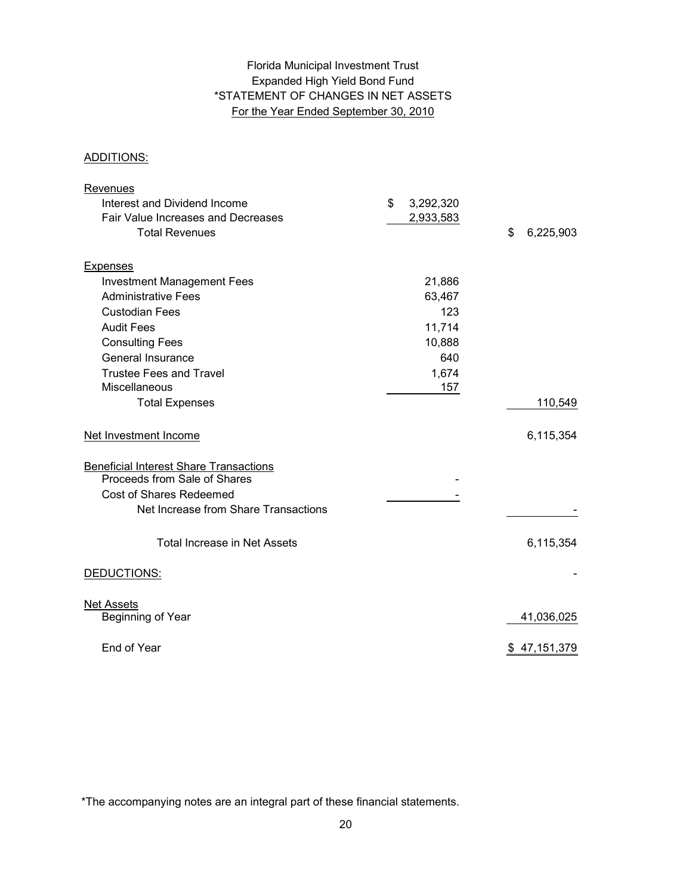# Expanded High Yield Bond Fund \*STATEMENT OF CHANGES IN NET ASSETS For the Year Ended September 30, 2010 Florida Municipal Investment Trust

# ADDITIONS:

| Revenues                                      |                 |                 |
|-----------------------------------------------|-----------------|-----------------|
| Interest and Dividend Income                  | \$<br>3,292,320 |                 |
| Fair Value Increases and Decreases            | 2,933,583       |                 |
| <b>Total Revenues</b>                         |                 | \$<br>6,225,903 |
|                                               |                 |                 |
| <b>Expenses</b>                               |                 |                 |
| <b>Investment Management Fees</b>             | 21,886          |                 |
| <b>Administrative Fees</b>                    | 63,467          |                 |
| <b>Custodian Fees</b>                         | 123             |                 |
| <b>Audit Fees</b>                             | 11,714          |                 |
| <b>Consulting Fees</b>                        | 10,888          |                 |
| General Insurance                             | 640             |                 |
| <b>Trustee Fees and Travel</b>                | 1,674           |                 |
| Miscellaneous                                 | 157             |                 |
| <b>Total Expenses</b>                         |                 | 110,549         |
| Net Investment Income                         |                 | 6,115,354       |
| <b>Beneficial Interest Share Transactions</b> |                 |                 |
| Proceeds from Sale of Shares                  |                 |                 |
| <b>Cost of Shares Redeemed</b>                |                 |                 |
| Net Increase from Share Transactions          |                 |                 |
| <b>Total Increase in Net Assets</b>           |                 | 6,115,354       |
| DEDUCTIONS:                                   |                 |                 |
| <b>Net Assets</b>                             |                 |                 |
| Beginning of Year                             |                 | 41,036,025      |
| End of Year                                   |                 | \$47,151,379    |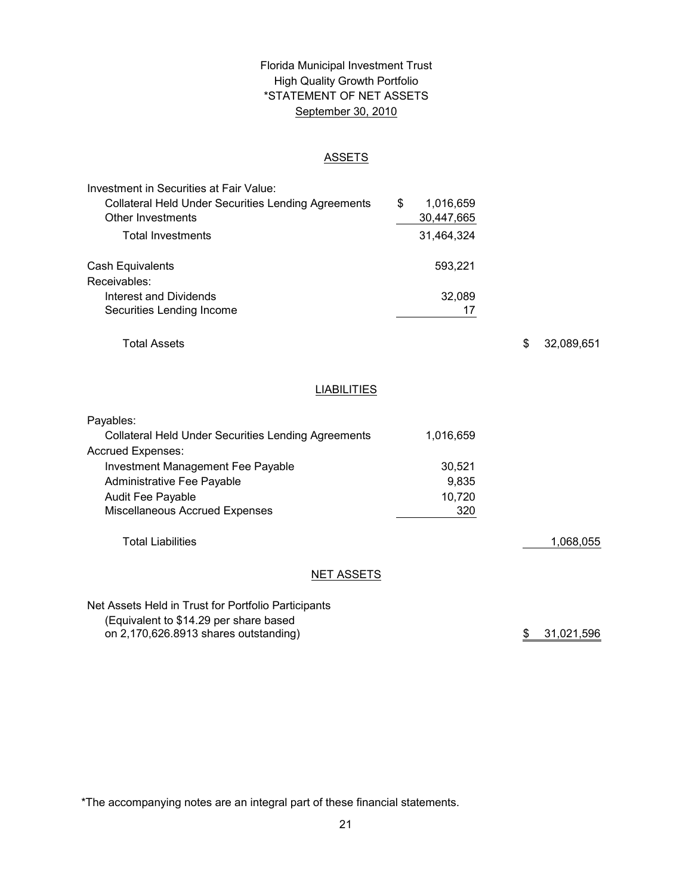# \*STATEMENT OF NET ASSETS Florida Municipal Investment Trust High Quality Growth Portfolio September 30, 2010

# **ASSETS**

| <b>Investment in Securities at Fair Value:</b>                                         |                               |                  |
|----------------------------------------------------------------------------------------|-------------------------------|------------------|
| <b>Collateral Held Under Securities Lending Agreements</b><br><b>Other Investments</b> | \$<br>1,016,659<br>30,447,665 |                  |
| <b>Total Investments</b>                                                               | 31,464,324                    |                  |
| Cash Equivalents                                                                       | 593,221                       |                  |
| Receivables:                                                                           |                               |                  |
| <b>Interest and Dividends</b>                                                          | 32,089                        |                  |
| Securities Lending Income                                                              | 17                            |                  |
| <b>Total Assets</b>                                                                    |                               | \$<br>32,089,651 |
| <b>LIABILITIES</b>                                                                     |                               |                  |
| Payables:                                                                              |                               |                  |
| <b>Collateral Held Under Securities Lending Agreements</b><br><b>Accrued Expenses:</b> | 1,016,659                     |                  |
| <b>Investment Management Fee Payable</b>                                               | 30,521                        |                  |
| Administrative Fee Payable                                                             | 9,835                         |                  |
| Audit Fee Payable                                                                      | 10,720                        |                  |
| Miscellaneous Accrued Expenses                                                         | 320                           |                  |
| <b>Total Liabilities</b>                                                               |                               | 1,068,055        |
| <b>NET ASSETS</b>                                                                      |                               |                  |
| Net Assets Held in Trust for Portfolio Participants                                    |                               |                  |
| (Equivalent to \$14.29 per share based                                                 |                               |                  |
| on 2,170,626.8913 shares outstanding)                                                  |                               | 31,021,596<br>S  |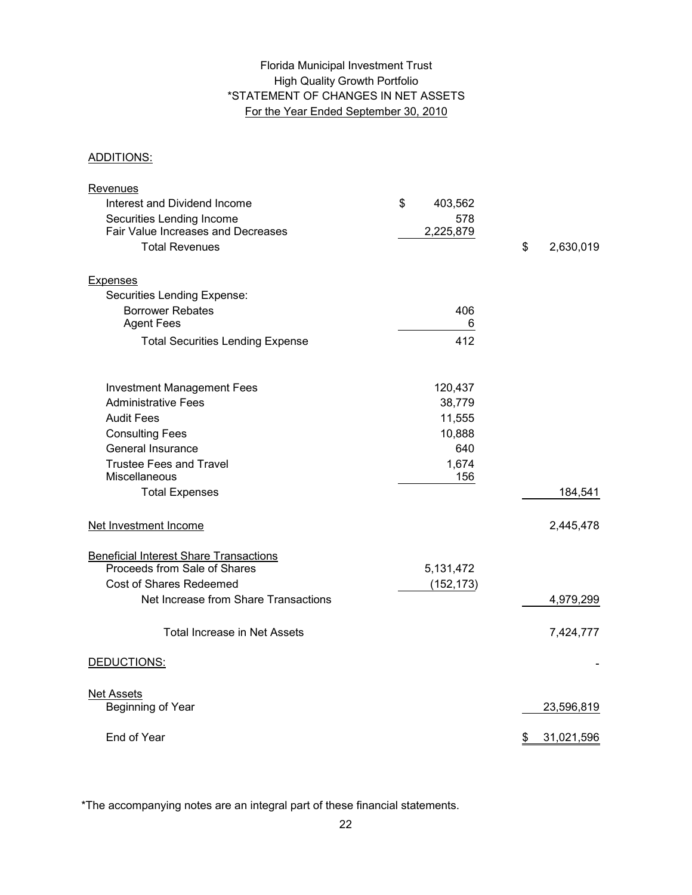# Florida Municipal Investment Trust High Quality Growth Portfolio \*STATEMENT OF CHANGES IN NET ASSETS For the Year Ended September 30, 2010

# ADDITIONS:

| Revenues                                      |               |                  |
|-----------------------------------------------|---------------|------------------|
| Interest and Dividend Income                  | \$<br>403,562 |                  |
| Securities Lending Income                     | 578           |                  |
| Fair Value Increases and Decreases            | 2,225,879     |                  |
| <b>Total Revenues</b>                         |               | \$<br>2,630,019  |
| <b>Expenses</b>                               |               |                  |
| Securities Lending Expense:                   |               |                  |
| <b>Borrower Rebates</b>                       | 406           |                  |
| <b>Agent Fees</b>                             | 6             |                  |
| <b>Total Securities Lending Expense</b>       | 412           |                  |
| <b>Investment Management Fees</b>             | 120,437       |                  |
| <b>Administrative Fees</b>                    | 38,779        |                  |
| <b>Audit Fees</b>                             | 11,555        |                  |
| <b>Consulting Fees</b>                        | 10,888        |                  |
| General Insurance                             | 640           |                  |
| <b>Trustee Fees and Travel</b>                | 1,674         |                  |
| Miscellaneous                                 | 156           |                  |
| <b>Total Expenses</b>                         |               | 184,541          |
| Net Investment Income                         |               | 2,445,478        |
| <b>Beneficial Interest Share Transactions</b> |               |                  |
| Proceeds from Sale of Shares                  | 5,131,472     |                  |
| <b>Cost of Shares Redeemed</b>                | (152, 173)    |                  |
| Net Increase from Share Transactions          |               | 4,979,299        |
| <b>Total Increase in Net Assets</b>           |               | 7,424,777        |
| DEDUCTIONS:                                   |               |                  |
| <b>Net Assets</b>                             |               |                  |
| Beginning of Year                             |               | 23,596,819       |
| End of Year                                   |               | \$<br>31,021,596 |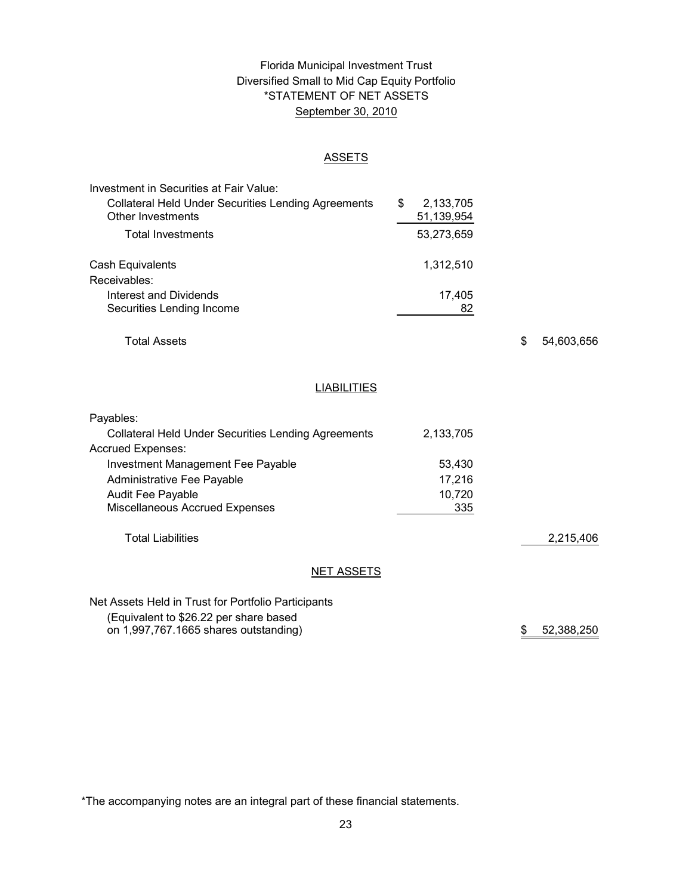# \*STATEMENT OF NET ASSETS Florida Municipal Investment Trust Diversified Small to Mid Cap Equity Portfolio September 30, 2010

# ASSETS

| Investment in Securities at Fair Value:                                         |                               |                  |
|---------------------------------------------------------------------------------|-------------------------------|------------------|
| <b>Collateral Held Under Securities Lending Agreements</b><br>Other Investments | 2,133,705<br>\$<br>51,139,954 |                  |
| <b>Total Investments</b>                                                        | 53,273,659                    |                  |
| Cash Equivalents                                                                | 1,312,510                     |                  |
| Receivables:                                                                    |                               |                  |
| <b>Interest and Dividends</b><br>Securities Lending Income                      | 17,405<br>82                  |                  |
| <b>Total Assets</b>                                                             |                               | \$<br>54,603,656 |
| <b>LIABILITIES</b>                                                              |                               |                  |
| Payables:                                                                       |                               |                  |
| <b>Collateral Held Under Securities Lending Agreements</b><br>Accrued Expenses: | 2,133,705                     |                  |
| <b>Investment Management Fee Payable</b>                                        | 53,430                        |                  |
| Administrative Fee Payable                                                      | 17,216                        |                  |
| Audit Fee Payable                                                               | 10,720                        |                  |
| Miscellaneous Accrued Expenses                                                  | 335                           |                  |
| <b>Total Liabilities</b>                                                        |                               | 2,215,406        |
| <b>NET ASSETS</b>                                                               |                               |                  |
| Net Assets Held in Trust for Portfolio Participants                             |                               |                  |
| (Equivalent to \$26.22 per share based                                          |                               |                  |
| on 1,997,767.1665 shares outstanding)                                           |                               | 52,388,250<br>\$ |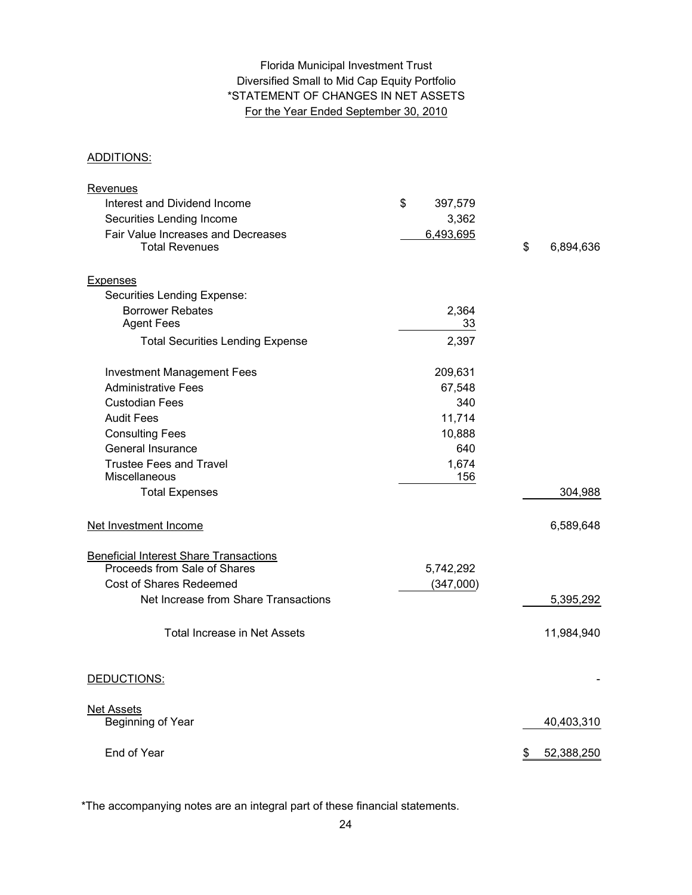# Florida Municipal Investment Trust Diversified Small to Mid Cap Equity Portfolio \*STATEMENT OF CHANGES IN NET ASSETS For the Year Ended September 30, 2010

## ADDITIONS:

| Revenues                                                    |               |                  |
|-------------------------------------------------------------|---------------|------------------|
| Interest and Dividend Income                                | \$<br>397,579 |                  |
| Securities Lending Income                                   | 3,362         |                  |
| Fair Value Increases and Decreases<br><b>Total Revenues</b> | 6,493,695     | \$<br>6,894,636  |
| Expenses                                                    |               |                  |
| Securities Lending Expense:                                 |               |                  |
| <b>Borrower Rebates</b>                                     | 2,364         |                  |
| <b>Agent Fees</b>                                           | 33            |                  |
| <b>Total Securities Lending Expense</b>                     | 2,397         |                  |
| <b>Investment Management Fees</b>                           | 209,631       |                  |
| <b>Administrative Fees</b>                                  | 67,548        |                  |
| <b>Custodian Fees</b>                                       | 340           |                  |
| <b>Audit Fees</b>                                           | 11,714        |                  |
| <b>Consulting Fees</b>                                      | 10,888        |                  |
| General Insurance                                           | 640           |                  |
| <b>Trustee Fees and Travel</b>                              | 1,674         |                  |
| Miscellaneous                                               | 156           |                  |
| <b>Total Expenses</b>                                       |               | 304,988          |
| Net Investment Income                                       |               | 6,589,648        |
| <b>Beneficial Interest Share Transactions</b>               |               |                  |
| Proceeds from Sale of Shares                                | 5,742,292     |                  |
| Cost of Shares Redeemed                                     | (347,000)     |                  |
| Net Increase from Share Transactions                        |               | 5,395,292        |
| <b>Total Increase in Net Assets</b>                         |               | 11,984,940       |
| DEDUCTIONS:                                                 |               |                  |
| <b>Net Assets</b>                                           |               |                  |
| Beginning of Year                                           |               | 40,403,310       |
| End of Year                                                 |               | \$<br>52,388,250 |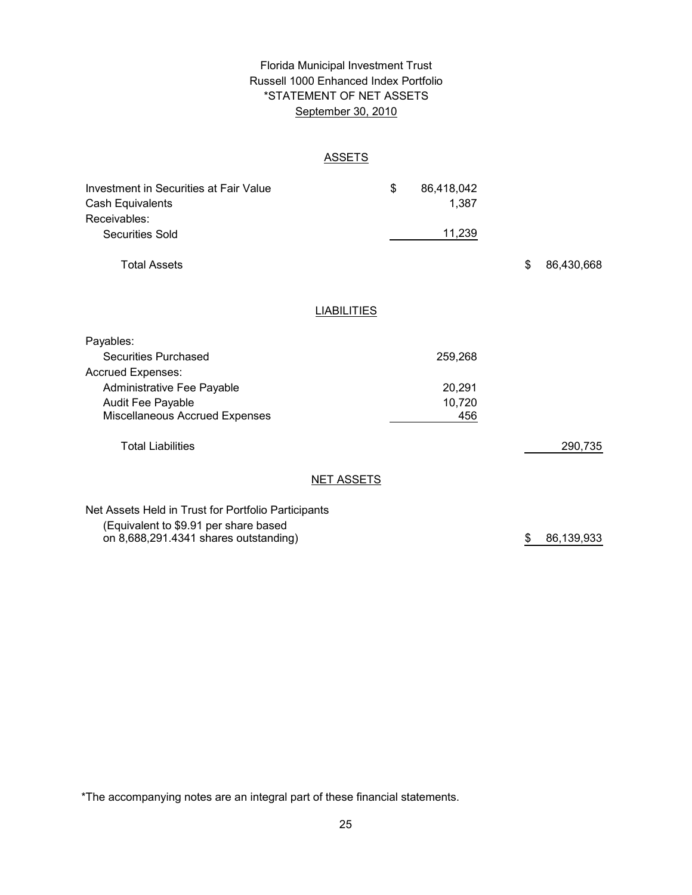# Florida Municipal Investment Trust Russell 1000 Enhanced Index Portfolio September 30, 2010 \*STATEMENT OF NET ASSETS

## ASSETS

| Investment in Securities at Fair Value<br>Cash Equivalents |                    | \$<br>86,418,042<br>1,387 |                  |
|------------------------------------------------------------|--------------------|---------------------------|------------------|
| Receivables:                                               |                    |                           |                  |
|                                                            |                    | 11,239                    |                  |
| <b>Securities Sold</b>                                     |                    |                           |                  |
| <b>Total Assets</b>                                        |                    |                           | \$<br>86,430,668 |
|                                                            |                    |                           |                  |
|                                                            | <b>LIABILITIES</b> |                           |                  |
| Payables:                                                  |                    |                           |                  |
| <b>Securities Purchased</b>                                |                    | 259,268                   |                  |
| <b>Accrued Expenses:</b>                                   |                    |                           |                  |
| Administrative Fee Payable                                 |                    | 20,291                    |                  |
| Audit Fee Payable                                          |                    | 10,720                    |                  |
| Miscellaneous Accrued Expenses                             |                    | 456                       |                  |
| <b>Total Liabilities</b>                                   |                    |                           | 290,735          |
|                                                            | <b>NET ASSETS</b>  |                           |                  |
| Net Assets Held in Trust for Portfolio Participants        |                    |                           |                  |
| (Equivalent to \$9.91 per share based                      |                    |                           |                  |

\$ 86,139,933

\*The accompanying notes are an integral part of these financial statements.

on 8,688,291.4341 shares outstanding)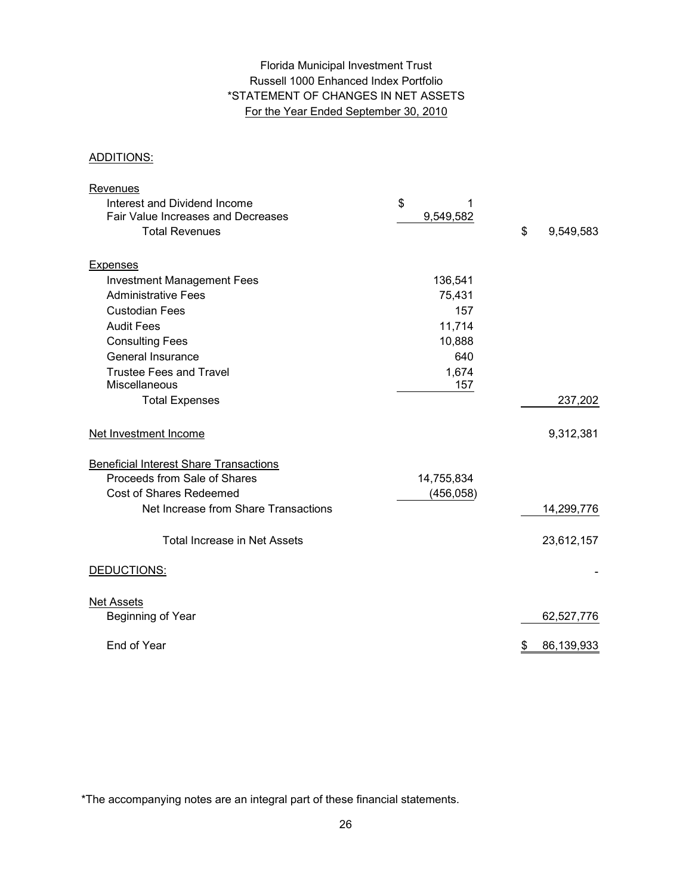# Russell 1000 Enhanced Index Portfolio \*STATEMENT OF CHANGES IN NET ASSETS For the Year Ended September 30, 2010 Florida Municipal Investment Trust

# ADDITIONS:

| <b>Revenues</b>                                                 |                   |                 |
|-----------------------------------------------------------------|-------------------|-----------------|
| Interest and Dividend Income                                    | \$                |                 |
| Fair Value Increases and Decreases                              | 9,549,582         |                 |
| <b>Total Revenues</b>                                           |                   | \$<br>9,549,583 |
|                                                                 |                   |                 |
| <b>Expenses</b>                                                 |                   |                 |
| <b>Investment Management Fees</b><br><b>Administrative Fees</b> | 136,541<br>75,431 |                 |
| <b>Custodian Fees</b>                                           | 157               |                 |
| <b>Audit Fees</b>                                               | 11,714            |                 |
|                                                                 | 10,888            |                 |
| <b>Consulting Fees</b><br>General Insurance                     | 640               |                 |
| <b>Trustee Fees and Travel</b>                                  | 1,674             |                 |
| Miscellaneous                                                   | 157               |                 |
| <b>Total Expenses</b>                                           |                   | 237,202         |
| Net Investment Income                                           |                   | 9,312,381       |
| <b>Beneficial Interest Share Transactions</b>                   |                   |                 |
| Proceeds from Sale of Shares                                    | 14,755,834        |                 |
| <b>Cost of Shares Redeemed</b>                                  | (456, 058)        |                 |
| Net Increase from Share Transactions                            |                   | 14,299,776      |
| Total Increase in Net Assets                                    |                   | 23,612,157      |
| DEDUCTIONS:                                                     |                   |                 |
| <b>Net Assets</b>                                               |                   |                 |
| Beginning of Year                                               |                   | 62,527,776      |
| End of Year                                                     |                   | 86,139,933<br>S |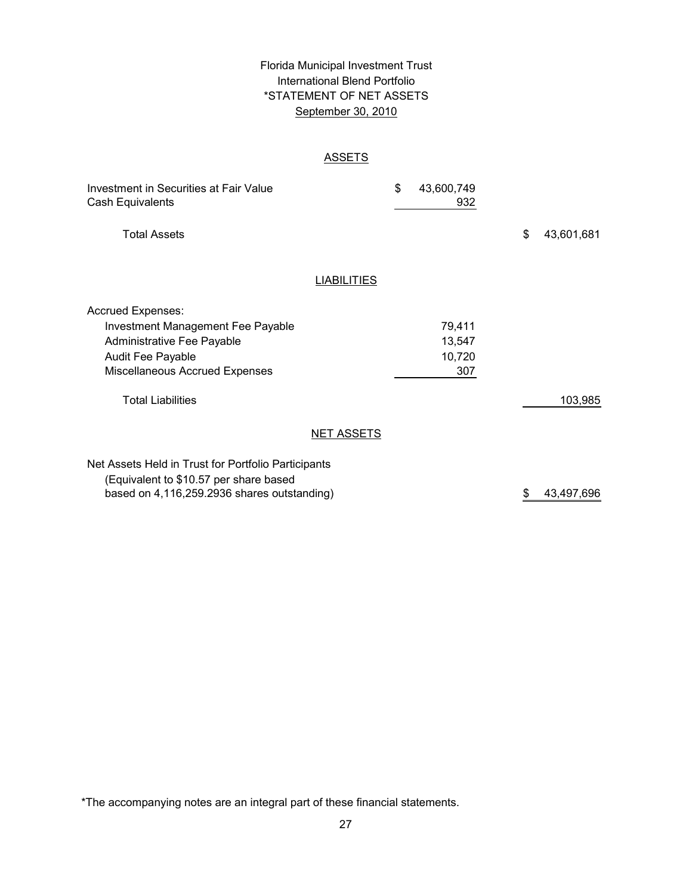# Florida Municipal Investment Trust International Blend Portfolio September 30, 2010 \*STATEMENT OF NET ASSETS

# ASSETS

| Investment in Securities at Fair Value<br>Cash Equivalents                                                                                                              | \$<br>43,600,749<br>932           |                  |
|-------------------------------------------------------------------------------------------------------------------------------------------------------------------------|-----------------------------------|------------------|
| <b>Total Assets</b>                                                                                                                                                     |                                   | \$<br>43,601,681 |
| <b>LIABILITIES</b>                                                                                                                                                      |                                   |                  |
| Accrued Expenses:<br>Investment Management Fee Payable<br>Administrative Fee Payable<br>Audit Fee Payable<br>Miscellaneous Accrued Expenses<br><b>Total Liabilities</b> | 79,411<br>13,547<br>10,720<br>307 | 103,985          |
| <b>NET ASSETS</b>                                                                                                                                                       |                                   |                  |
| Net Assets Held in Trust for Portfolio Participants<br>(Equivalent to \$10.57 per share based<br>based on 4,116,259.2936 shares outstanding)                            |                                   | 43,497,696       |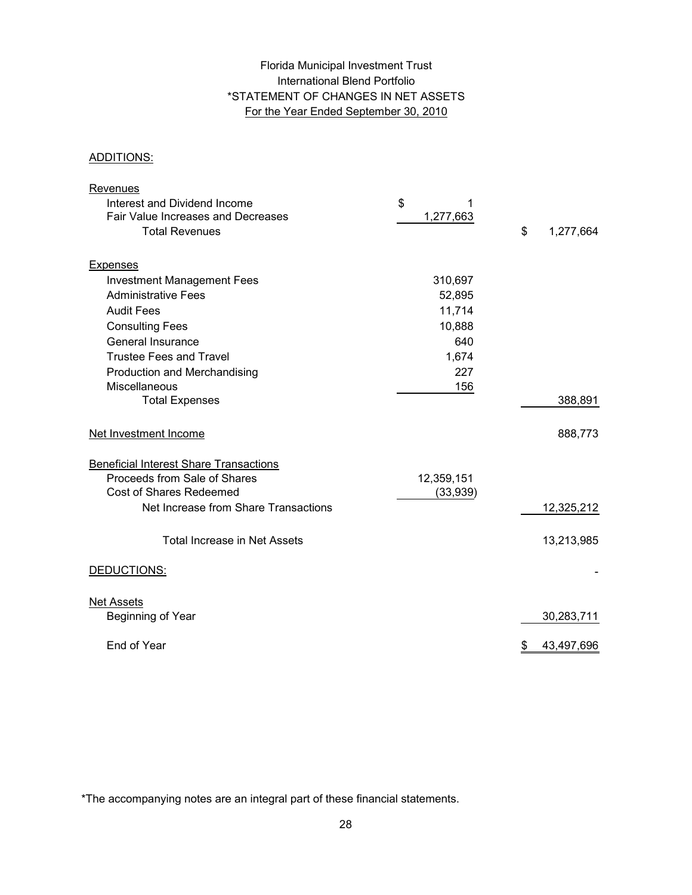# Florida Municipal Investment Trust International Blend Portfolio \*STATEMENT OF CHANGES IN NET ASSETS For the Year Ended September 30, 2010

# ADDITIONS:

| Revenues                                      |            |                  |
|-----------------------------------------------|------------|------------------|
| Interest and Dividend Income                  | \$         |                  |
| Fair Value Increases and Decreases            | 1,277,663  |                  |
| <b>Total Revenues</b>                         |            | \$<br>1,277,664  |
| <b>Expenses</b>                               |            |                  |
| <b>Investment Management Fees</b>             | 310,697    |                  |
| <b>Administrative Fees</b>                    | 52,895     |                  |
| <b>Audit Fees</b>                             | 11,714     |                  |
| <b>Consulting Fees</b>                        | 10,888     |                  |
| General Insurance                             | 640        |                  |
| <b>Trustee Fees and Travel</b>                | 1,674      |                  |
| Production and Merchandising                  | 227        |                  |
| Miscellaneous                                 | 156        |                  |
| <b>Total Expenses</b>                         |            | 388,891          |
| Net Investment Income                         |            | 888,773          |
| <b>Beneficial Interest Share Transactions</b> |            |                  |
| Proceeds from Sale of Shares                  | 12,359,151 |                  |
| Cost of Shares Redeemed                       | (33, 939)  |                  |
| Net Increase from Share Transactions          |            | 12,325,212       |
| <b>Total Increase in Net Assets</b>           |            | 13,213,985       |
| DEDUCTIONS:                                   |            |                  |
| <b>Net Assets</b>                             |            |                  |
| Beginning of Year                             |            | 30,283,711       |
| End of Year                                   |            | 43,497,696<br>\$ |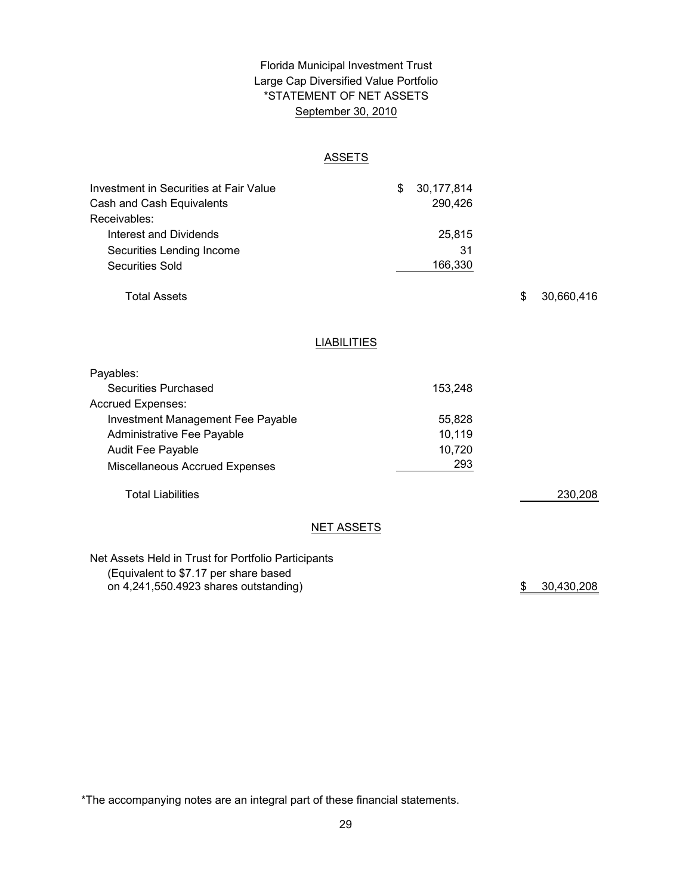# \*STATEMENT OF NET ASSETS Florida Municipal Investment Trust Large Cap Diversified Value Portfolio September 30, 2010

## **ASSETS**

| <b>Investment in Securities at Fair Value</b><br>Cash and Cash Equivalents     | \$<br>30,177,814<br>290,426 |                  |
|--------------------------------------------------------------------------------|-----------------------------|------------------|
| Receivables:                                                                   |                             |                  |
| Interest and Dividends                                                         | 25,815                      |                  |
| Securities Lending Income                                                      | 31                          |                  |
| <b>Securities Sold</b>                                                         | 166,330                     |                  |
| <b>Total Assets</b>                                                            |                             | \$<br>30,660,416 |
| <b>LIABILITIES</b>                                                             |                             |                  |
| Payables:                                                                      |                             |                  |
| <b>Securities Purchased</b>                                                    | 153,248                     |                  |
| <b>Accrued Expenses:</b>                                                       |                             |                  |
| <b>Investment Management Fee Payable</b>                                       | 55,828                      |                  |
| Administrative Fee Payable                                                     | 10,119                      |                  |
| <b>Audit Fee Payable</b>                                                       | 10,720                      |                  |
| Miscellaneous Accrued Expenses                                                 | 293                         |                  |
| <b>Total Liabilities</b>                                                       |                             | 230,208          |
| <b>NET ASSETS</b>                                                              |                             |                  |
| Net Assets Held in Trust for Portfolio Participants                            |                             |                  |
| (Equivalent to \$7.17 per share based<br>on 4,241,550.4923 shares outstanding) |                             | 30,430,208<br>\$ |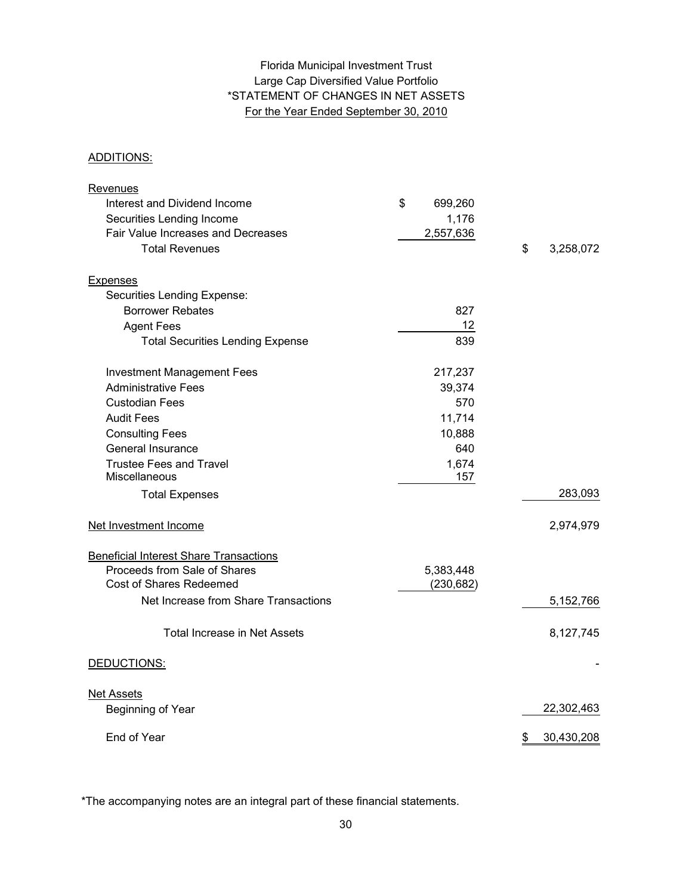# Large Cap Diversified Value Portfolio \*STATEMENT OF CHANGES IN NET ASSETS For the Year Ended September 30, 2010 Florida Municipal Investment Trust

# ADDITIONS:

| Revenues                                      |               |                  |
|-----------------------------------------------|---------------|------------------|
| Interest and Dividend Income                  | \$<br>699,260 |                  |
| Securities Lending Income                     | 1,176         |                  |
| Fair Value Increases and Decreases            | 2,557,636     |                  |
| <b>Total Revenues</b>                         |               | \$<br>3,258,072  |
| <b>Expenses</b>                               |               |                  |
| Securities Lending Expense:                   |               |                  |
| <b>Borrower Rebates</b>                       | 827           |                  |
| <b>Agent Fees</b>                             | 12            |                  |
| <b>Total Securities Lending Expense</b>       | 839           |                  |
| <b>Investment Management Fees</b>             | 217,237       |                  |
| <b>Administrative Fees</b>                    | 39,374        |                  |
| <b>Custodian Fees</b>                         | 570           |                  |
| <b>Audit Fees</b>                             | 11,714        |                  |
| <b>Consulting Fees</b>                        | 10,888        |                  |
| General Insurance                             | 640           |                  |
| <b>Trustee Fees and Travel</b>                | 1,674         |                  |
| Miscellaneous                                 | 157           |                  |
| <b>Total Expenses</b>                         |               | 283,093          |
| Net Investment Income                         |               | 2,974,979        |
| <b>Beneficial Interest Share Transactions</b> |               |                  |
| Proceeds from Sale of Shares                  | 5,383,448     |                  |
| Cost of Shares Redeemed                       | (230, 682)    |                  |
| Net Increase from Share Transactions          |               | 5,152,766        |
| <b>Total Increase in Net Assets</b>           |               | 8,127,745        |
| DEDUCTIONS:                                   |               |                  |
| <b>Net Assets</b>                             |               |                  |
| Beginning of Year                             |               | 22,302,463       |
| End of Year                                   |               | \$<br>30,430,208 |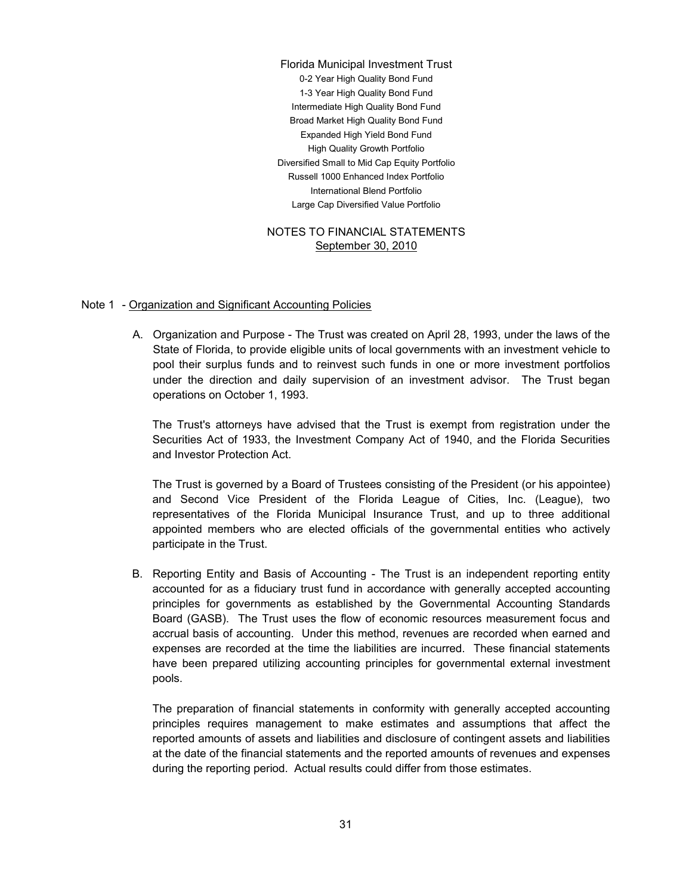0-2 Year High Quality Bond Fund International Blend Portfolio Florida Municipal Investment Trust Intermediate High Quality Bond Fund 1-3 Year High Quality Bond Fund Broad Market High Quality Bond Fund High Quality Growth Portfolio Diversified Small to Mid Cap Equity Portfolio Large Cap Diversified Value Portfolio Expanded High Yield Bond Fund Russell 1000 Enhanced Index Portfolio

#### NOTES TO FINANCIAL STATEMENTS September 30, 2010

#### Note 1 - Organization and Significant Accounting Policies

A. Organization and Purpose - The Trust was created on April 28, 1993, under the laws of the State of Florida, to provide eligible units of local governments with an investment vehicle to pool their surplus funds and to reinvest such funds in one or more investment portfolios under the direction and daily supervision of an investment advisor. The Trust began operations on October 1, 1993.

The Trust's attorneys have advised that the Trust is exempt from registration under the Securities Act of 1933, the Investment Company Act of 1940, and the Florida Securities and Investor Protection Act.

The Trust is governed by a Board of Trustees consisting of the President (or his appointee) and Second Vice President of the Florida League of Cities, Inc. (League), two representatives of the Florida Municipal Insurance Trust, and up to three additional appointed members who are elected officials of the governmental entities who actively participate in the Trust.

B. Reporting Entity and Basis of Accounting - The Trust is an independent reporting entity accounted for as a fiduciary trust fund in accordance with generally accepted accounting principles for governments as established by the Governmental Accounting Standards Board (GASB). The Trust uses the flow of economic resources measurement focus and accrual basis of accounting. Under this method, revenues are recorded when earned and expenses are recorded at the time the liabilities are incurred. These financial statements have been prepared utilizing accounting principles for governmental external investment pools.

The preparation of financial statements in conformity with generally accepted accounting principles requires management to make estimates and assumptions that affect the reported amounts of assets and liabilities and disclosure of contingent assets and liabilities at the date of the financial statements and the reported amounts of revenues and expenses during the reporting period. Actual results could differ from those estimates.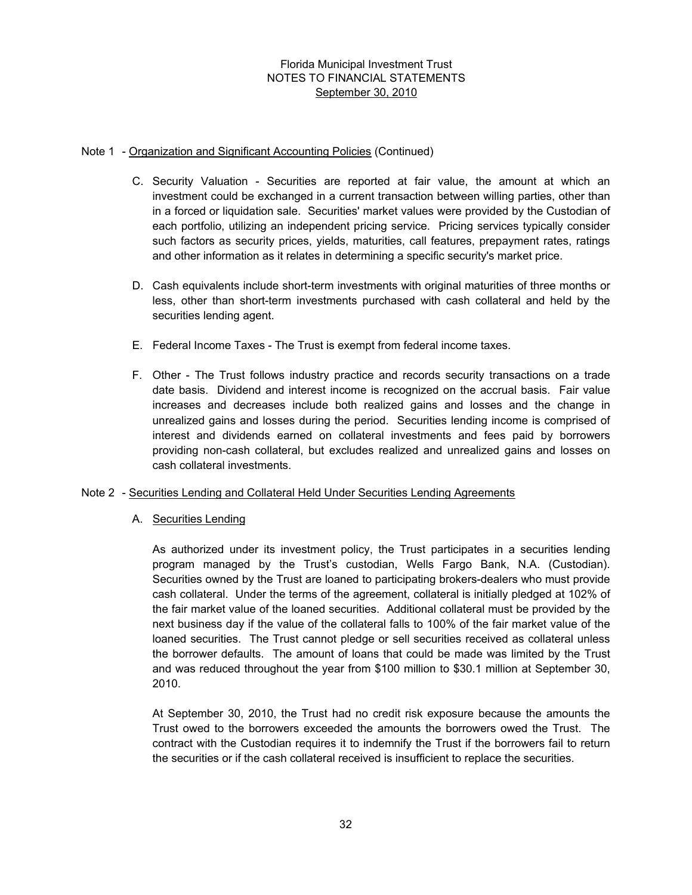## Note 1 - Organization and Significant Accounting Policies (Continued)

- C. Security Valuation Securities are reported at fair value, the amount at which an investment could be exchanged in a current transaction between willing parties, other than in a forced or liquidation sale. Securities' market values were provided by the Custodian of each portfolio, utilizing an independent pricing service. Pricing services typically consider such factors as security prices, yields, maturities, call features, prepayment rates, ratings and other information as it relates in determining a specific security's market price.
- D. Cash equivalents include short-term investments with original maturities of three months or less, other than short-term investments purchased with cash collateral and held by the securities lending agent.
- E. Federal Income Taxes The Trust is exempt from federal income taxes.
- F. Other The Trust follows industry practice and records security transactions on a trade date basis. Dividend and interest income is recognized on the accrual basis. Fair value increases and decreases include both realized gains and losses and the change in unrealized gains and losses during the period. Securities lending income is comprised of interest and dividends earned on collateral investments and fees paid by borrowers providing non-cash collateral, but excludes realized and unrealized gains and losses on cash collateral investments.

# Note 2 - Securities Lending and Collateral Held Under Securities Lending Agreements

# A. Securities Lending

As authorized under its investment policy, the Trust participates in a securities lending program managed by the Trust's custodian, Wells Fargo Bank, N.A. (Custodian). Securities owned by the Trust are loaned to participating brokers-dealers who must provide cash collateral. Under the terms of the agreement, collateral is initially pledged at 102% of the fair market value of the loaned securities. Additional collateral must be provided by the next business day if the value of the collateral falls to 100% of the fair market value of the loaned securities. The Trust cannot pledge or sell securities received as collateral unless the borrower defaults. The amount of loans that could be made was limited by the Trust and was reduced throughout the year from \$100 million to \$30.1 million at September 30, 2010.

At September 30, 2010, the Trust had no credit risk exposure because the amounts the Trust owed to the borrowers exceeded the amounts the borrowers owed the Trust. The contract with the Custodian requires it to indemnify the Trust if the borrowers fail to return the securities or if the cash collateral received is insufficient to replace the securities.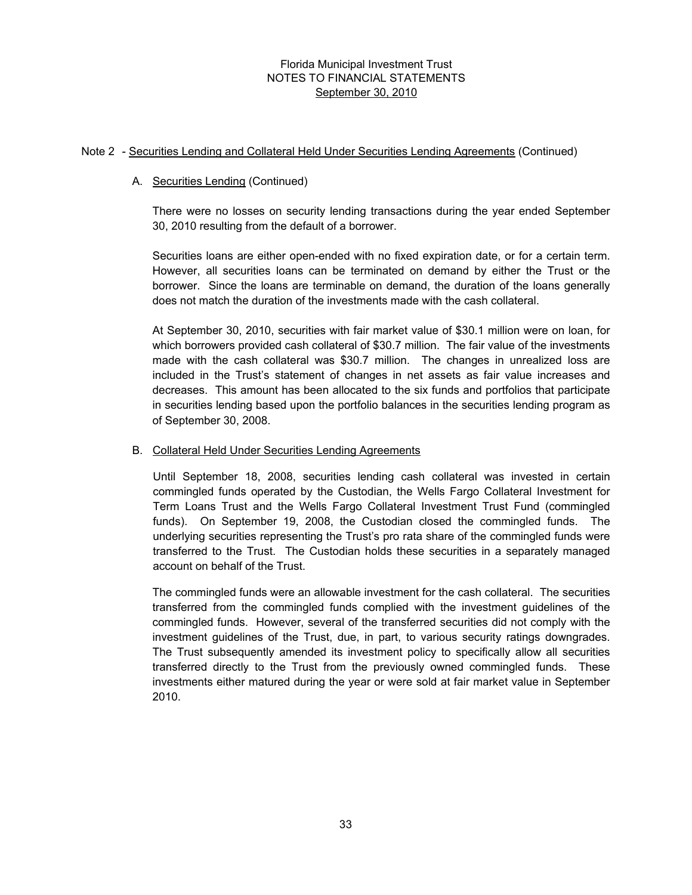## Note 2 - Securities Lending and Collateral Held Under Securities Lending Agreements (Continued)

# A. Securities Lending (Continued)

There were no losses on security lending transactions during the year ended September 30, 2010 resulting from the default of a borrower.

Securities loans are either open-ended with no fixed expiration date, or for a certain term. However, all securities loans can be terminated on demand by either the Trust or the borrower. Since the loans are terminable on demand, the duration of the loans generally does not match the duration of the investments made with the cash collateral.

At September 30, 2010, securities with fair market value of \$30.1 million were on loan, for which borrowers provided cash collateral of \$30.7 million. The fair value of the investments made with the cash collateral was \$30.7 million. The changes in unrealized loss are included in the Trust's statement of changes in net assets as fair value increases and decreases. This amount has been allocated to the six funds and portfolios that participate in securities lending based upon the portfolio balances in the securities lending program as of September 30, 2008.

# B. Collateral Held Under Securities Lending Agreements

Until September 18, 2008, securities lending cash collateral was invested in certain commingled funds operated by the Custodian, the Wells Fargo Collateral Investment for Term Loans Trust and the Wells Fargo Collateral Investment Trust Fund (commingled funds). On September 19, 2008, the Custodian closed the commingled funds. The underlying securities representing the Trust's pro rata share of the commingled funds were transferred to the Trust. The Custodian holds these securities in a separately managed account on behalf of the Trust.

The commingled funds were an allowable investment for the cash collateral. The securities transferred from the commingled funds complied with the investment guidelines of the commingled funds. However, several of the transferred securities did not comply with the investment guidelines of the Trust, due, in part, to various security ratings downgrades. The Trust subsequently amended its investment policy to specifically allow all securities transferred directly to the Trust from the previously owned commingled funds. These investments either matured during the year or were sold at fair market value in September 2010.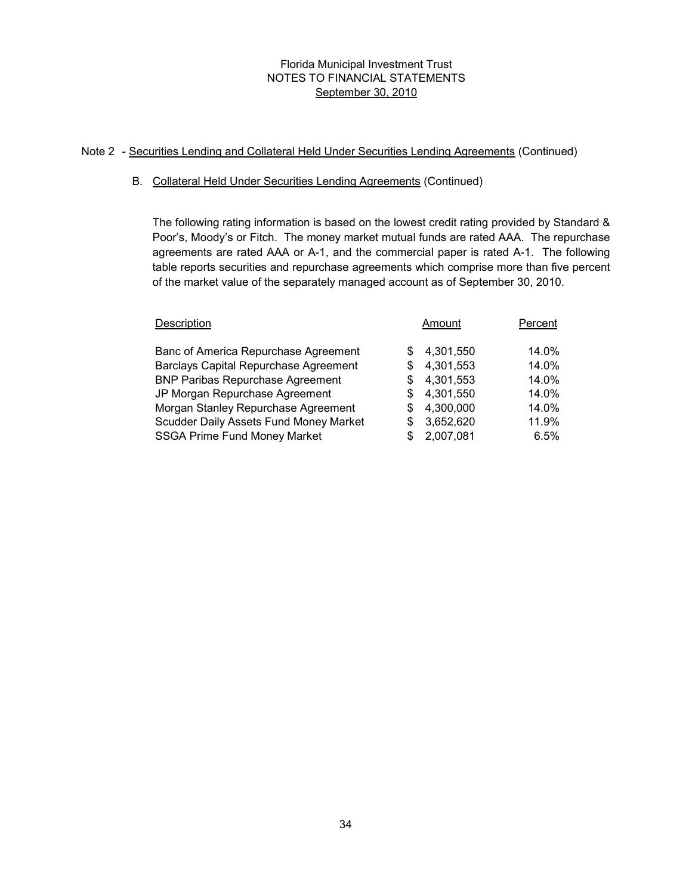## Note 2 - Securities Lending and Collateral Held Under Securities Lending Agreements (Continued)

## B. Collateral Held Under Securities Lending Agreements (Continued)

The following rating information is based on the lowest credit rating provided by Standard & Poor's, Moody's or Fitch. The money market mutual funds are rated AAA. The repurchase agreements are rated AAA or A-1, and the commercial paper is rated A-1. The following table reports securities and repurchase agreements which comprise more than five percent of the market value of the separately managed account as of September 30, 2010.

| Description                                         | Amount    | Percent |
|-----------------------------------------------------|-----------|---------|
| Banc of America Repurchase Agreement<br>\$.         | 4,301,550 | 14.0%   |
| <b>Barclays Capital Repurchase Agreement</b><br>\$. | 4,301,553 | 14.0%   |
| <b>BNP Paribas Repurchase Agreement</b><br>\$       | 4,301,553 | 14.0%   |
| JP Morgan Repurchase Agreement<br>\$.               | 4,301,550 | 14.0%   |
| Morgan Stanley Repurchase Agreement                 | 4,300,000 | 14.0%   |
| Scudder Daily Assets Fund Money Market<br>S         | 3,652,620 | 11.9%   |
| <b>SSGA Prime Fund Money Market</b>                 | 2,007,081 | 6.5%    |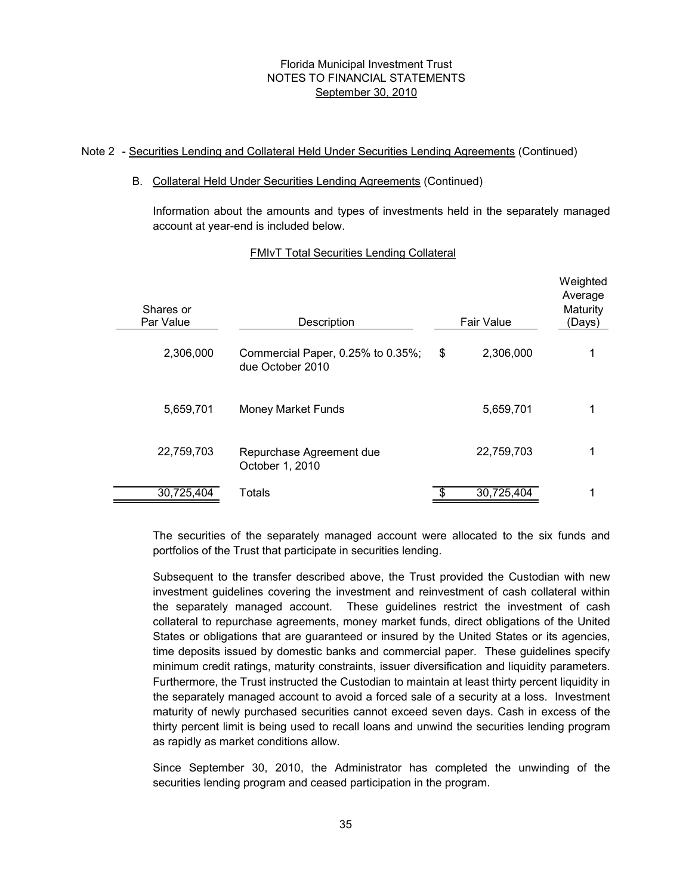## Note 2 - Securities Lending and Collateral Held Under Securities Lending Agreements (Continued)

# B. Collateral Held Under Securities Lending Agreements (Continued)

Information about the amounts and types of investments held in the separately managed account at year-end is included below.

| Shares or<br>Par Value | Description                                           | <b>Fair Value</b> | Weighted<br>Average<br>Maturity<br>(Days) |
|------------------------|-------------------------------------------------------|-------------------|-------------------------------------------|
| 2,306,000              | Commercial Paper, 0.25% to 0.35%;<br>due October 2010 | \$<br>2,306,000   | 1                                         |
| 5,659,701              | <b>Money Market Funds</b>                             | 5,659,701         |                                           |
| 22,759,703             | Repurchase Agreement due<br>October 1, 2010           | 22,759,703        |                                           |
| 30,725,404             | Totals                                                | 30,725,404        |                                           |

## FMIvT Total Securities Lending Collateral

The securities of the separately managed account were allocated to the six funds and portfolios of the Trust that participate in securities lending.

Subsequent to the transfer described above, the Trust provided the Custodian with new investment guidelines covering the investment and reinvestment of cash collateral within the separately managed account. These guidelines restrict the investment of cash collateral to repurchase agreements, money market funds, direct obligations of the United States or obligations that are guaranteed or insured by the United States or its agencies, time deposits issued by domestic banks and commercial paper. These guidelines specify minimum credit ratings, maturity constraints, issuer diversification and liquidity parameters. Furthermore, the Trust instructed the Custodian to maintain at least thirty percent liquidity in the separately managed account to avoid a forced sale of a security at a loss. Investment maturity of newly purchased securities cannot exceed seven days. Cash in excess of the thirty percent limit is being used to recall loans and unwind the securities lending program as rapidly as market conditions allow.

Since September 30, 2010, the Administrator has completed the unwinding of the securities lending program and ceased participation in the program.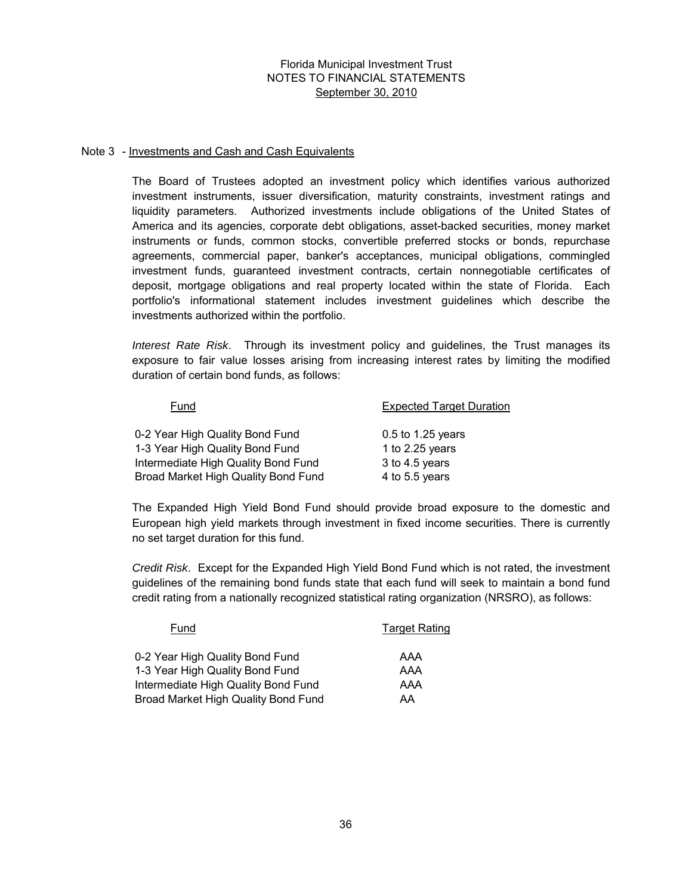#### Note 3 - Investments and Cash and Cash Equivalents

The Board of Trustees adopted an investment policy which identifies various authorized investment instruments, issuer diversification, maturity constraints, investment ratings and liquidity parameters. Authorized investments include obligations of the United States of America and its agencies, corporate debt obligations, asset-backed securities, money market instruments or funds, common stocks, convertible preferred stocks or bonds, repurchase agreements, commercial paper, banker's acceptances, municipal obligations, commingled investment funds, guaranteed investment contracts, certain nonnegotiable certificates of deposit, mortgage obligations and real property located within the state of Florida. Each portfolio's informational statement includes investment guidelines which describe the investments authorized within the portfolio.

*Interest Rate Risk*. Through its investment policy and guidelines, the Trust manages its exposure to fair value losses arising from increasing interest rates by limiting the modified duration of certain bond funds, as follows:

| Fund                                                                                                      | <b>Expected Target Duration</b>                          |
|-----------------------------------------------------------------------------------------------------------|----------------------------------------------------------|
| 0-2 Year High Quality Bond Fund<br>1-3 Year High Quality Bond Fund<br>Intermediate High Quality Bond Fund | $0.5$ to 1.25 years<br>1 to 2.25 years<br>3 to 4.5 years |
| Broad Market High Quality Bond Fund                                                                       | 4 to 5.5 years                                           |

The Expanded High Yield Bond Fund should provide broad exposure to the domestic and European high yield markets through investment in fixed income securities. There is currently no set target duration for this fund.

*Credit Risk*. Except for the Expanded High Yield Bond Fund which is not rated, the investment guidelines of the remaining bond funds state that each fund will seek to maintain a bond fund credit rating from a nationally recognized statistical rating organization (NRSRO), as follows:

| Fund                                | <b>Target Rating</b> |  |  |
|-------------------------------------|----------------------|--|--|
| 0-2 Year High Quality Bond Fund     | AAA                  |  |  |
| 1-3 Year High Quality Bond Fund     | AAA                  |  |  |
| Intermediate High Quality Bond Fund | AAA                  |  |  |
| Broad Market High Quality Bond Fund | AA                   |  |  |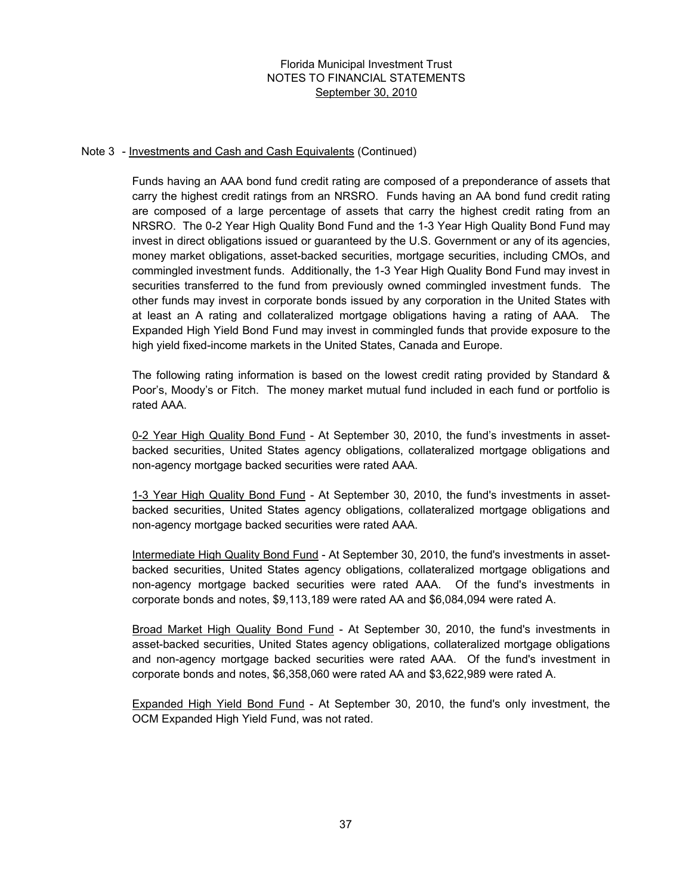#### Note 3 - Investments and Cash and Cash Equivalents (Continued)

Funds having an AAA bond fund credit rating are composed of a preponderance of assets that carry the highest credit ratings from an NRSRO. Funds having an AA bond fund credit rating are composed of a large percentage of assets that carry the highest credit rating from an NRSRO. The 0-2 Year High Quality Bond Fund and the 1-3 Year High Quality Bond Fund may invest in direct obligations issued or guaranteed by the U.S. Government or any of its agencies, money market obligations, asset-backed securities, mortgage securities, including CMOs, and commingled investment funds. Additionally, the 1-3 Year High Quality Bond Fund may invest in securities transferred to the fund from previously owned commingled investment funds. The other funds may invest in corporate bonds issued by any corporation in the United States with at least an A rating and collateralized mortgage obligations having a rating of AAA. The Expanded High Yield Bond Fund may invest in commingled funds that provide exposure to the high yield fixed-income markets in the United States, Canada and Europe.

The following rating information is based on the lowest credit rating provided by Standard & Poor's, Moody's or Fitch. The money market mutual fund included in each fund or portfolio is rated AAA.

0-2 Year High Quality Bond Fund - At September 30, 2010, the fund's investments in assetbacked securities, United States agency obligations, collateralized mortgage obligations and non-agency mortgage backed securities were rated AAA.

1-3 Year High Quality Bond Fund - At September 30, 2010, the fund's investments in assetbacked securities, United States agency obligations, collateralized mortgage obligations and non-agency mortgage backed securities were rated AAA.

Intermediate High Quality Bond Fund - At September 30, 2010, the fund's investments in assetbacked securities, United States agency obligations, collateralized mortgage obligations and non-agency mortgage backed securities were rated AAA. Of the fund's investments in corporate bonds and notes, \$9,113,189 were rated AA and \$6,084,094 were rated A.

Broad Market High Quality Bond Fund - At September 30, 2010, the fund's investments in asset-backed securities, United States agency obligations, collateralized mortgage obligations and non-agency mortgage backed securities were rated AAA. Of the fund's investment in corporate bonds and notes, \$6,358,060 were rated AA and \$3,622,989 were rated A.

Expanded High Yield Bond Fund - At September 30, 2010, the fund's only investment, the OCM Expanded High Yield Fund, was not rated.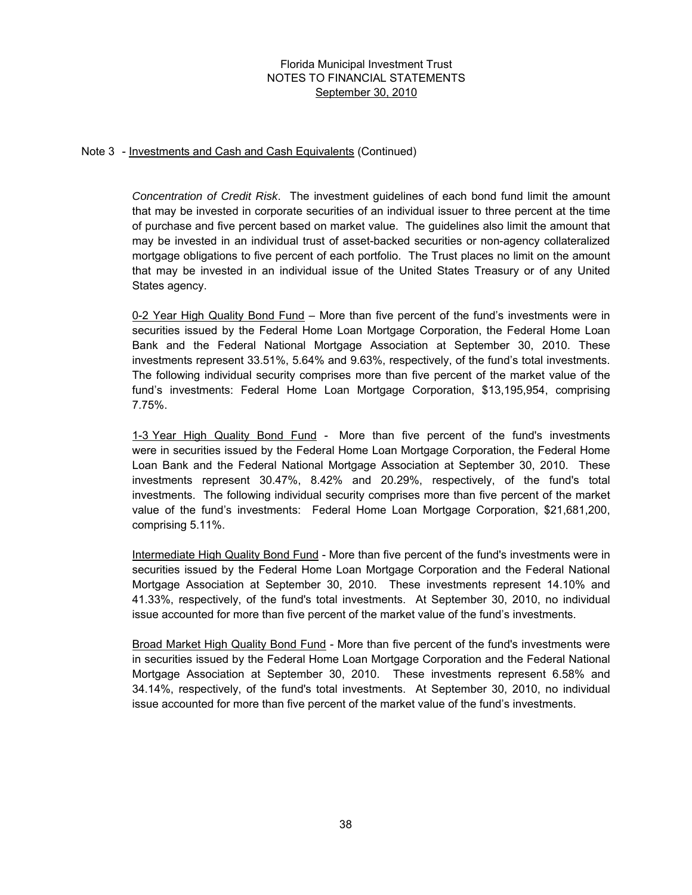#### Note 3 - Investments and Cash and Cash Equivalents (Continued)

*Concentration of Credit Risk*. The investment guidelines of each bond fund limit the amount that may be invested in corporate securities of an individual issuer to three percent at the time of purchase and five percent based on market value. The guidelines also limit the amount that may be invested in an individual trust of asset-backed securities or non-agency collateralized mortgage obligations to five percent of each portfolio. The Trust places no limit on the amount that may be invested in an individual issue of the United States Treasury or of any United States agency.

0-2 Year High Quality Bond Fund – More than five percent of the fund's investments were in securities issued by the Federal Home Loan Mortgage Corporation, the Federal Home Loan Bank and the Federal National Mortgage Association at September 30, 2010. These investments represent 33.51%, 5.64% and 9.63%, respectively, of the fund's total investments. The following individual security comprises more than five percent of the market value of the fund's investments: Federal Home Loan Mortgage Corporation, \$13,195,954, comprising 7.75%.

1-3 Year High Quality Bond Fund - More than five percent of the fund's investments were in securities issued by the Federal Home Loan Mortgage Corporation, the Federal Home Loan Bank and the Federal National Mortgage Association at September 30, 2010. These investments represent 30.47%, 8.42% and 20.29%, respectively, of the fund's total investments. The following individual security comprises more than five percent of the market value of the fund's investments: Federal Home Loan Mortgage Corporation, \$21,681,200, comprising 5.11%.

Intermediate High Quality Bond Fund - More than five percent of the fund's investments were in securities issued by the Federal Home Loan Mortgage Corporation and the Federal National Mortgage Association at September 30, 2010. These investments represent 14.10% and 41.33%, respectively, of the fund's total investments. At September 30, 2010, no individual issue accounted for more than five percent of the market value of the fund's investments.

Broad Market High Quality Bond Fund - More than five percent of the fund's investments were in securities issued by the Federal Home Loan Mortgage Corporation and the Federal National Mortgage Association at September 30, 2010. These investments represent 6.58% and 34.14%, respectively, of the fund's total investments. At September 30, 2010, no individual issue accounted for more than five percent of the market value of the fund's investments.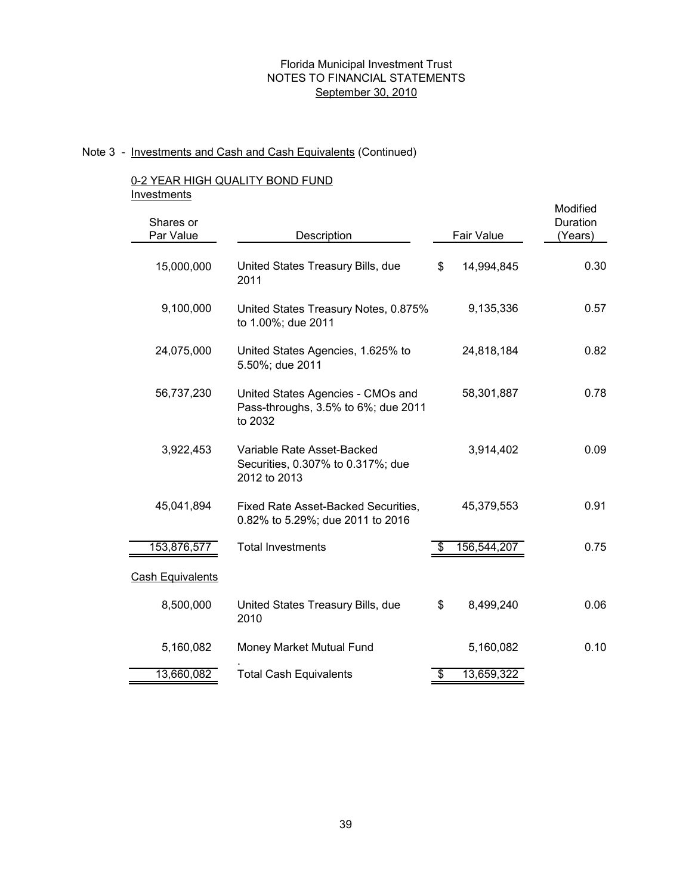# Note 3 - Investments and Cash and Cash Equivalents (Continued)

# 0-2 YEAR HIGH QUALITY BOND FUND **Investments**

| <u></u><br>Shares or<br>Par Value | Description                                                                         | Fair Value       | Modified<br>Duration<br>(Years) |
|-----------------------------------|-------------------------------------------------------------------------------------|------------------|---------------------------------|
|                                   |                                                                                     |                  |                                 |
| 15,000,000                        | United States Treasury Bills, due<br>2011                                           | \$<br>14,994,845 | 0.30                            |
| 9,100,000                         | United States Treasury Notes, 0.875%<br>to 1.00%; due 2011                          | 9,135,336        | 0.57                            |
| 24,075,000                        | United States Agencies, 1.625% to<br>5.50%; due 2011                                | 24,818,184       | 0.82                            |
| 56,737,230                        | United States Agencies - CMOs and<br>Pass-throughs, 3.5% to 6%; due 2011<br>to 2032 | 58,301,887       | 0.78                            |
| 3,922,453                         | Variable Rate Asset-Backed<br>Securities, 0.307% to 0.317%; due<br>2012 to 2013     | 3,914,402        | 0.09                            |
| 45,041,894                        | Fixed Rate Asset-Backed Securities,<br>0.82% to 5.29%; due 2011 to 2016             | 45,379,553       | 0.91                            |
| 153,876,577                       | <b>Total Investments</b>                                                            | 156,544,207      | 0.75                            |
| <b>Cash Equivalents</b>           |                                                                                     |                  |                                 |
| 8,500,000                         | United States Treasury Bills, due<br>2010                                           | \$<br>8,499,240  | 0.06                            |
| 5,160,082                         | Money Market Mutual Fund                                                            | 5,160,082        | 0.10                            |
| 13,660,082                        | <b>Total Cash Equivalents</b>                                                       | \$<br>13,659,322 |                                 |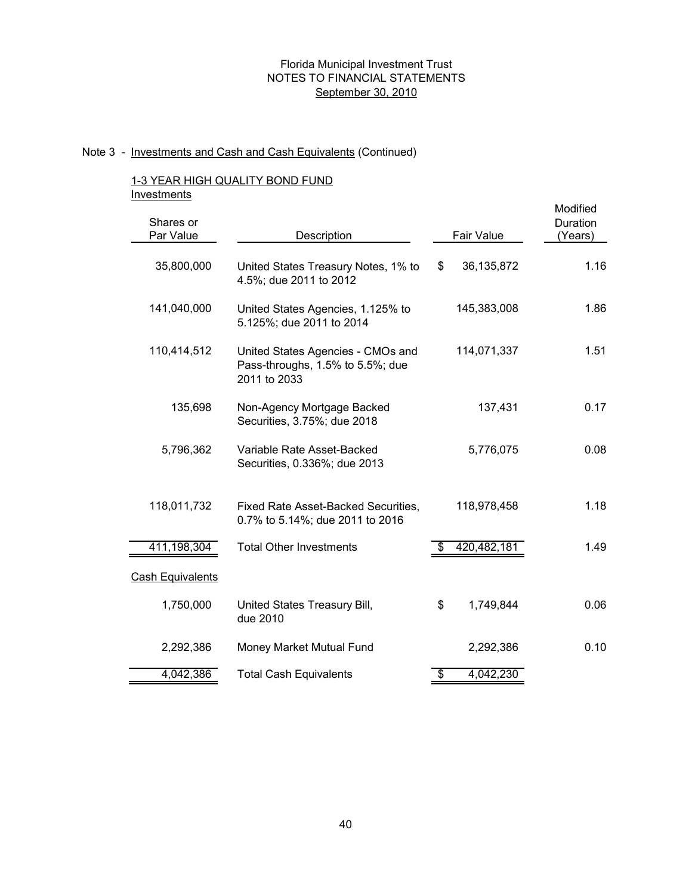# Note 3 - Investments and Cash and Cash Equivalents (Continued)

# 1-3 YEAR HIGH QUALITY BOND FUND **Investments**

| Shares or<br>Par Value  | Description                                                                           | Fair Value         | Modified<br>Duration<br>(Years) |
|-------------------------|---------------------------------------------------------------------------------------|--------------------|---------------------------------|
|                         |                                                                                       |                    |                                 |
| 35,800,000              | United States Treasury Notes, 1% to<br>4.5%; due 2011 to 2012                         | \$<br>36, 135, 872 | 1.16                            |
| 141,040,000             | United States Agencies, 1.125% to<br>5.125%; due 2011 to 2014                         | 145,383,008        | 1.86                            |
| 110,414,512             | United States Agencies - CMOs and<br>Pass-throughs, 1.5% to 5.5%; due<br>2011 to 2033 | 114,071,337        | 1.51                            |
| 135,698                 | Non-Agency Mortgage Backed<br>Securities, 3.75%; due 2018                             | 137,431            | 0.17                            |
| 5,796,362               | Variable Rate Asset-Backed<br>Securities, 0.336%; due 2013                            | 5,776,075          | 0.08                            |
| 118,011,732             | Fixed Rate Asset-Backed Securities,<br>0.7% to 5.14%; due 2011 to 2016                | 118,978,458        | 1.18                            |
| 411,198,304             | <b>Total Other Investments</b>                                                        | 420,482,181        | 1.49                            |
| <b>Cash Equivalents</b> |                                                                                       |                    |                                 |
| 1,750,000               | United States Treasury Bill,<br>due 2010                                              | \$<br>1,749,844    | 0.06                            |
| 2,292,386               | Money Market Mutual Fund                                                              | 2,292,386          | 0.10                            |
| 4,042,386               | <b>Total Cash Equivalents</b>                                                         | \$<br>4,042,230    |                                 |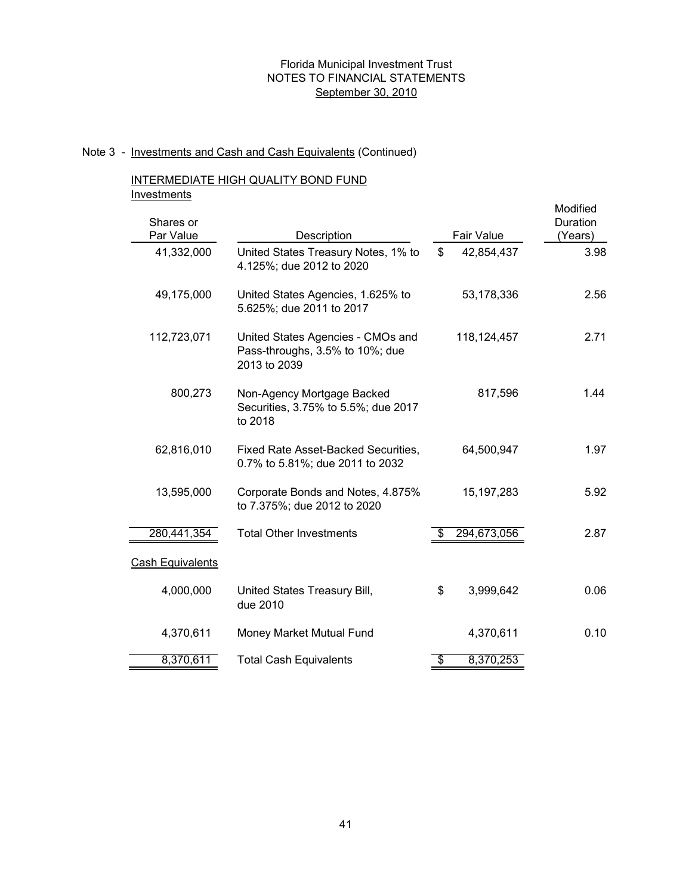#### Note 3 - Investments and Cash and Cash Equivalents (Continued)

# INTERMEDIATE HIGH QUALITY BOND FUND **Investments**

| Shares or               |                                                                                      |                   | Modified<br>Duration |
|-------------------------|--------------------------------------------------------------------------------------|-------------------|----------------------|
| Par Value               | Description                                                                          | <b>Fair Value</b> | (Years)              |
| 41,332,000              | United States Treasury Notes, 1% to<br>4.125%; due 2012 to 2020                      | \$<br>42,854,437  | 3.98                 |
| 49,175,000              | United States Agencies, 1.625% to<br>5.625%; due 2011 to 2017                        | 53,178,336        | 2.56                 |
| 112,723,071             | United States Agencies - CMOs and<br>Pass-throughs, 3.5% to 10%; due<br>2013 to 2039 | 118,124,457       | 2.71                 |
| 800,273                 | Non-Agency Mortgage Backed<br>Securities, 3.75% to 5.5%; due 2017<br>to 2018         | 817,596           | 1.44                 |
| 62,816,010              | Fixed Rate Asset-Backed Securities,<br>0.7% to 5.81%; due 2011 to 2032               | 64,500,947        | 1.97                 |
| 13,595,000              | Corporate Bonds and Notes, 4.875%<br>to 7.375%; due 2012 to 2020                     | 15, 197, 283      | 5.92                 |
| 280,441,354             | <b>Total Other Investments</b>                                                       | 294,673,056       | 2.87                 |
| <b>Cash Equivalents</b> |                                                                                      |                   |                      |
| 4,000,000               | United States Treasury Bill,<br>due 2010                                             | \$<br>3,999,642   | 0.06                 |
| 4,370,611               | Money Market Mutual Fund                                                             | 4,370,611         | 0.10                 |
| 8,370,611               | <b>Total Cash Equivalents</b>                                                        | \$<br>8,370,253   |                      |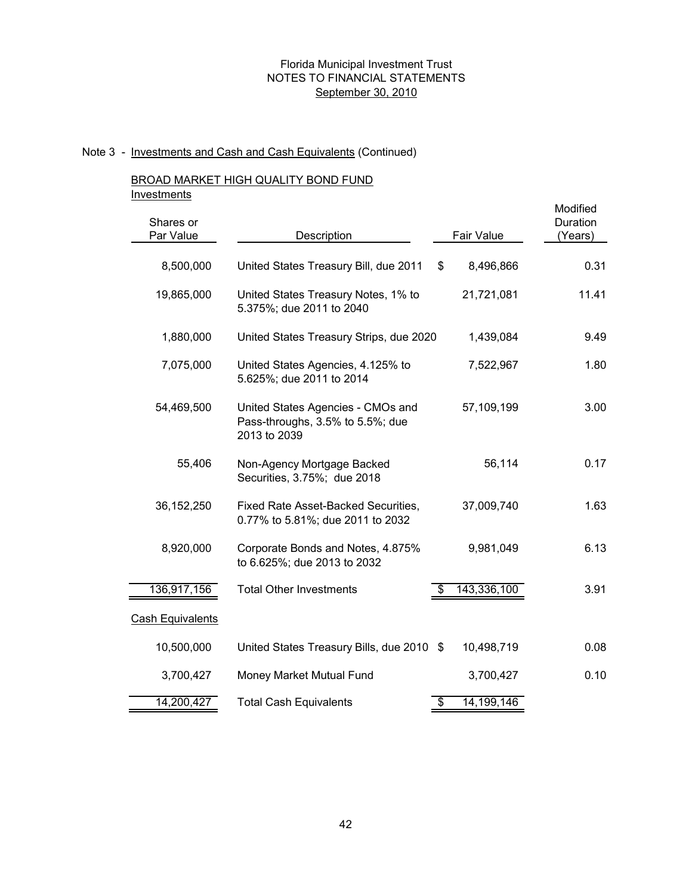# Note 3 - Investments and Cash and Cash Equivalents (Continued)

# BROAD MARKET HIGH QUALITY BOND FUND **Investments**

| Shares or<br>Par Value  | Description                                                                           |                          | Fair Value  | Modified<br>Duration<br>(Years) |
|-------------------------|---------------------------------------------------------------------------------------|--------------------------|-------------|---------------------------------|
|                         |                                                                                       |                          |             |                                 |
| 8,500,000               | United States Treasury Bill, due 2011                                                 | \$                       | 8,496,866   | 0.31                            |
| 19,865,000              | United States Treasury Notes, 1% to<br>5.375%; due 2011 to 2040                       |                          | 21,721,081  | 11.41                           |
| 1,880,000               | United States Treasury Strips, due 2020                                               |                          | 1,439,084   | 9.49                            |
| 7,075,000               | United States Agencies, 4.125% to<br>5.625%; due 2011 to 2014                         |                          | 7,522,967   | 1.80                            |
| 54,469,500              | United States Agencies - CMOs and<br>Pass-throughs, 3.5% to 5.5%; due<br>2013 to 2039 |                          | 57,109,199  | 3.00                            |
| 55,406                  | Non-Agency Mortgage Backed<br>Securities, 3.75%; due 2018                             |                          | 56,114      | 0.17                            |
| 36, 152, 250            | <b>Fixed Rate Asset-Backed Securities,</b><br>0.77% to 5.81%; due 2011 to 2032        |                          | 37,009,740  | 1.63                            |
| 8,920,000               | Corporate Bonds and Notes, 4.875%<br>to 6.625%; due 2013 to 2032                      |                          | 9,981,049   | 6.13                            |
| 136,917,156             | <b>Total Other Investments</b>                                                        | S                        | 143,336,100 | 3.91                            |
| <b>Cash Equivalents</b> |                                                                                       |                          |             |                                 |
| 10,500,000              | United States Treasury Bills, due 2010 \$                                             |                          | 10,498,719  | 0.08                            |
| 3,700,427               | Money Market Mutual Fund                                                              |                          | 3,700,427   | 0.10                            |
| 14,200,427              | <b>Total Cash Equivalents</b>                                                         | $\overline{\mathcal{S}}$ | 14,199,146  |                                 |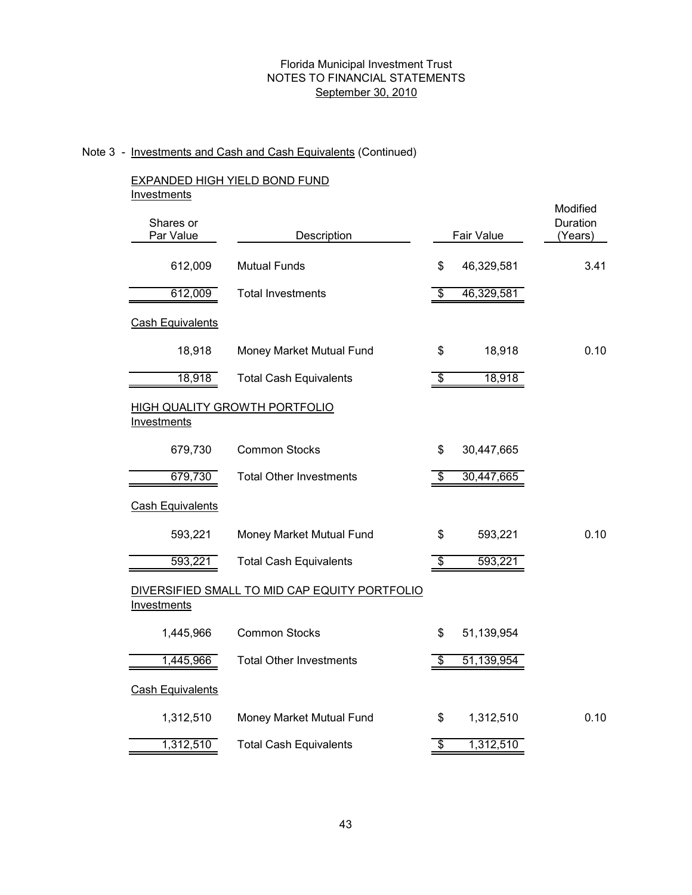# Note 3 - Investments and Cash and Cash Equivalents (Continued)

# EXPANDED HIGH YIELD BOND FUND **Investments**

| <u></u><br>Shares or<br>Par Value | Description                                   |                          | Fair Value | Modified<br>Duration<br>(Years) |
|-----------------------------------|-----------------------------------------------|--------------------------|------------|---------------------------------|
| 612,009                           | <b>Mutual Funds</b>                           | \$                       | 46,329,581 | 3.41                            |
| 612,009                           | <b>Total Investments</b>                      | \$                       | 46,329,581 |                                 |
| <b>Cash Equivalents</b>           |                                               |                          |            |                                 |
| 18,918                            | Money Market Mutual Fund                      | \$                       | 18,918     | 0.10                            |
| 18,918                            | <b>Total Cash Equivalents</b>                 | \$                       | 18,918     |                                 |
| <b>Investments</b>                | <b>HIGH QUALITY GROWTH PORTFOLIO</b>          |                          |            |                                 |
| 679,730                           | <b>Common Stocks</b>                          | \$                       | 30,447,665 |                                 |
| 679,730                           | <b>Total Other Investments</b>                | \$                       | 30,447,665 |                                 |
| <b>Cash Equivalents</b>           |                                               |                          |            |                                 |
| 593,221                           | Money Market Mutual Fund                      | \$                       | 593,221    | 0.10                            |
| 593,221                           | <b>Total Cash Equivalents</b>                 | \$                       | 593,221    |                                 |
| Investments                       | DIVERSIFIED SMALL TO MID CAP EQUITY PORTFOLIO |                          |            |                                 |
| 1,445,966                         | <b>Common Stocks</b>                          | \$                       | 51,139,954 |                                 |
| 1,445,966                         | <b>Total Other Investments</b>                | \$                       | 51,139,954 |                                 |
| <b>Cash Equivalents</b>           |                                               |                          |            |                                 |
| 1,312,510                         | Money Market Mutual Fund                      | \$                       | 1,312,510  | 0.10                            |
| 1,312,510                         | <b>Total Cash Equivalents</b>                 | $\overline{\mathcal{E}}$ | 1,312,510  |                                 |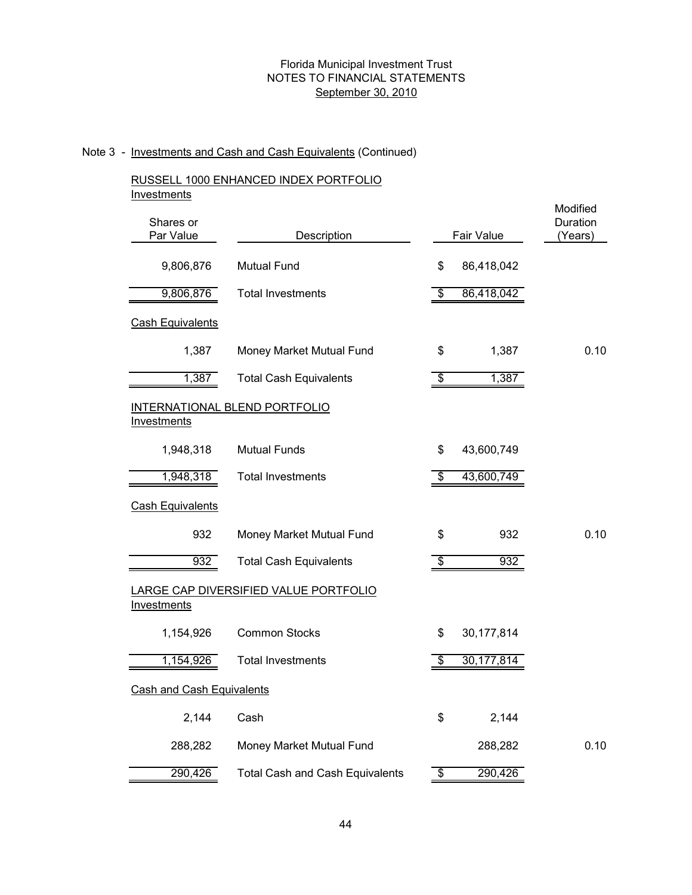# Note 3 - Investments and Cash and Cash Equivalents (Continued)

# RUSSELL 1000 ENHANCED INDEX PORTFOLIO **Investments**

| Shares or<br>Par Value           | Description                            |                 | Fair Value | Modified<br>Duration<br>(Years) |
|----------------------------------|----------------------------------------|-----------------|------------|---------------------------------|
| 9,806,876                        | <b>Mutual Fund</b>                     | \$              | 86,418,042 |                                 |
| 9,806,876                        | <b>Total Investments</b>               | $\overline{\$}$ | 86,418,042 |                                 |
| <b>Cash Equivalents</b>          |                                        |                 |            |                                 |
| 1,387                            | Money Market Mutual Fund               | \$              | 1,387      | 0.10                            |
| 1,387                            | <b>Total Cash Equivalents</b>          | \$              | 1,387      |                                 |
| Investments                      | INTERNATIONAL BLEND PORTFOLIO          |                 |            |                                 |
| 1,948,318                        | <b>Mutual Funds</b>                    | \$              | 43,600,749 |                                 |
| 1,948,318                        | <b>Total Investments</b>               | \$              | 43,600,749 |                                 |
| <b>Cash Equivalents</b>          |                                        |                 |            |                                 |
| 932                              | Money Market Mutual Fund               | \$              | 932        | 0.10                            |
| 932                              | <b>Total Cash Equivalents</b>          | \$              | 932        |                                 |
| Investments                      | LARGE CAP DIVERSIFIED VALUE PORTFOLIO  |                 |            |                                 |
| 1,154,926                        | <b>Common Stocks</b>                   | \$              | 30,177,814 |                                 |
| 1,154,926                        | <b>Total Investments</b>               | \$              | 30,177,814 |                                 |
| <b>Cash and Cash Equivalents</b> |                                        |                 |            |                                 |
| 2,144                            | Cash                                   | \$              | 2,144      |                                 |
| 288,282                          | Money Market Mutual Fund               |                 | 288,282    | 0.10                            |
| 290,426                          | <b>Total Cash and Cash Equivalents</b> | \$              | 290,426    |                                 |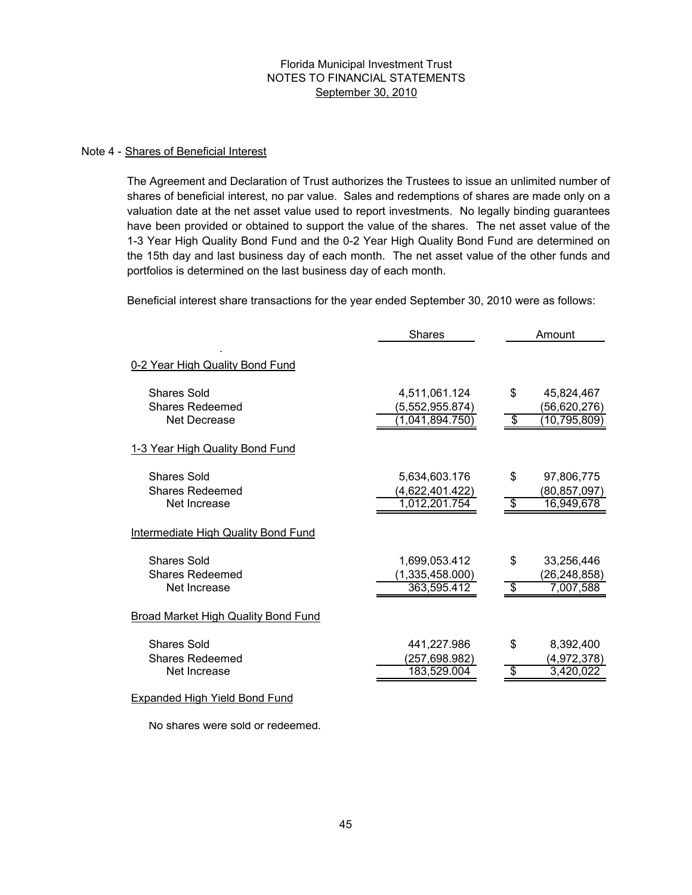#### Note 4 - Shares of Beneficial Interest

The Agreement and Declaration of Trust authorizes the Trustees to issue an unlimited number of shares of beneficial interest, no par value. Sales and redemptions of shares are made only on a valuation date at the net asset value used to report investments. No legally binding guarantees have been provided or obtained to support the value of the shares. The net asset value of the 1-3 Year High Quality Bond Fund and the 0-2 Year High Quality Bond Fund are determined on the 15th day and last business day of each month. The net asset value of the other funds and portfolios is determined on the last business day of each month.

Beneficial interest share transactions for the year ended September 30, 2010 were as follows:

|                                                              | <b>Shares</b>                                     |                                  | Amount                                     |
|--------------------------------------------------------------|---------------------------------------------------|----------------------------------|--------------------------------------------|
| 0-2 Year High Quality Bond Fund                              |                                                   |                                  |                                            |
| Shares Sold                                                  | 4,511,061.124                                     | \$                               | 45,824,467                                 |
| <b>Shares Redeemed</b><br>Net Decrease                       | (5,552,955.874)<br>(1,041,894.750)                | $\overline{\boldsymbol{\theta}}$ | (56,620,276)<br>(10, 795, 809)             |
| 1-3 Year High Quality Bond Fund                              |                                                   |                                  |                                            |
| Shares Sold<br><b>Shares Redeemed</b><br>Net Increase        | 5,634,603.176<br>(4,622,401.422)<br>1,012,201.754 | \$<br>\$                         | 97,806,775<br>(80, 857, 097)<br>16,949,678 |
| <b>Intermediate High Quality Bond Fund</b>                   |                                                   |                                  |                                            |
| <b>Shares Sold</b><br><b>Shares Redeemed</b><br>Net Increase | 1,699,053.412<br>(1, 335, 458.000)<br>363,595.412 | \$<br>\$                         | 33,256,446<br>(26, 248, 858)<br>7,007,588  |
| <b>Broad Market High Quality Bond Fund</b>                   |                                                   |                                  |                                            |
| Shares Sold<br><b>Shares Redeemed</b><br>Net Increase        | 441,227.986<br>(257,698.982)<br>183,529.004       | \$<br>\$                         | 8,392,400<br>(4,972,378)<br>3,420,022      |
| <b>Expanded High Yield Bond Fund</b>                         |                                                   |                                  |                                            |

No shares were sold or redeemed.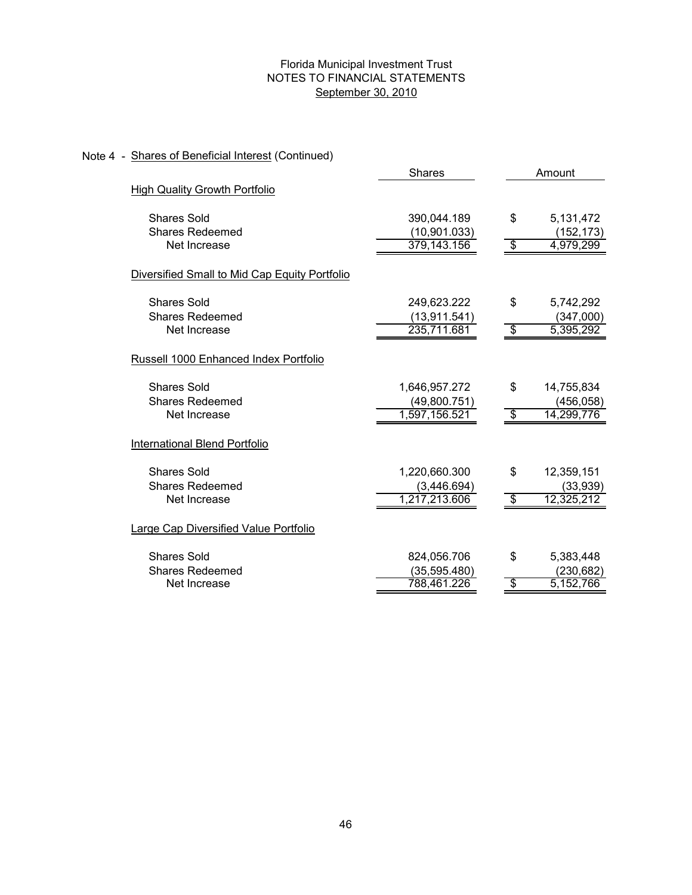# Note 4 - Shares of Beneficial Interest (Continued)

|                                               | <b>Shares</b> |                          | Amount     |
|-----------------------------------------------|---------------|--------------------------|------------|
| <b>High Quality Growth Portfolio</b>          |               |                          |            |
| <b>Shares Sold</b>                            | 390,044.189   | \$                       | 5,131,472  |
| <b>Shares Redeemed</b>                        | (10,901.033)  |                          | (152, 173) |
| Net Increase                                  | 379,143.156   | \$                       | 4,979,299  |
| Diversified Small to Mid Cap Equity Portfolio |               |                          |            |
| <b>Shares Sold</b>                            | 249,623.222   | \$                       | 5,742,292  |
| <b>Shares Redeemed</b>                        | (13, 911.541) |                          | (347,000)  |
| Net Increase                                  | 235,711.681   | \$                       | 5,395,292  |
| Russell 1000 Enhanced Index Portfolio         |               |                          |            |
| Shares Sold                                   | 1,646,957.272 | \$                       | 14,755,834 |
| <b>Shares Redeemed</b>                        | (49,800.751)  |                          | (456, 058) |
| Net Increase                                  | 1,597,156.521 | \$                       | 14,299,776 |
| International Blend Portfolio                 |               |                          |            |
| <b>Shares Sold</b>                            | 1,220,660.300 | \$                       | 12,359,151 |
| <b>Shares Redeemed</b>                        | (3,446.694)   |                          | (33,939)   |
| Net Increase                                  | 1,217,213.606 | \$                       | 12,325,212 |
| <b>Large Cap Diversified Value Portfolio</b>  |               |                          |            |
| <b>Shares Sold</b>                            | 824,056.706   | \$                       | 5,383,448  |
| <b>Shares Redeemed</b>                        | (35, 595.480) |                          | (230, 682) |
| Net Increase                                  | 788,461.226   | $\overline{\mathcal{E}}$ | 5,152,766  |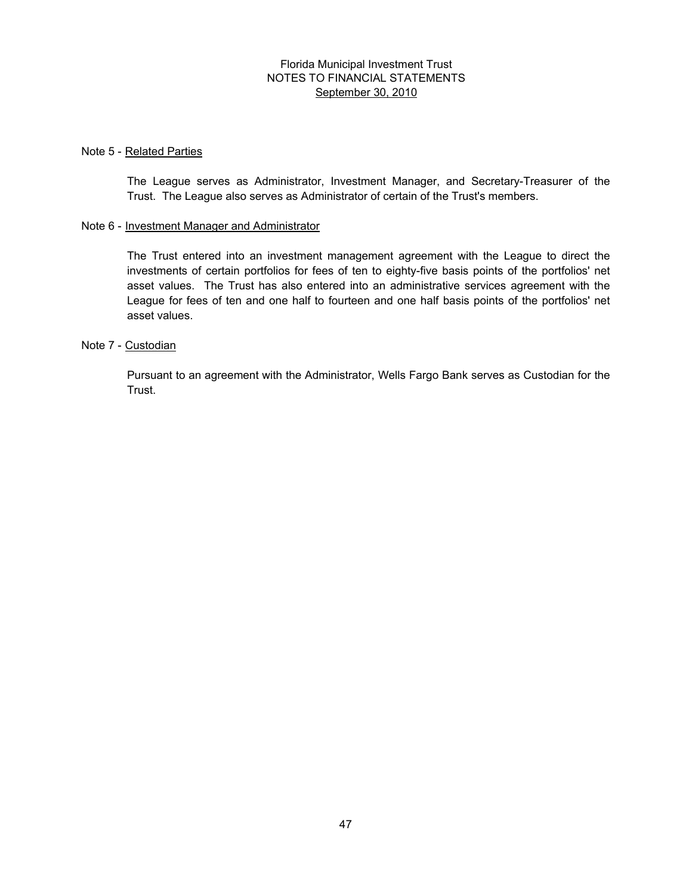#### Note 5 - Related Parties

The League serves as Administrator, Investment Manager, and Secretary-Treasurer of the Trust. The League also serves as Administrator of certain of the Trust's members.

#### Note 6 - Investment Manager and Administrator

The Trust entered into an investment management agreement with the League to direct the investments of certain portfolios for fees of ten to eighty-five basis points of the portfolios' net asset values. The Trust has also entered into an administrative services agreement with the League for fees of ten and one half to fourteen and one half basis points of the portfolios' net asset values.

#### Note 7 - Custodian

Pursuant to an agreement with the Administrator, Wells Fargo Bank serves as Custodian for the Trust.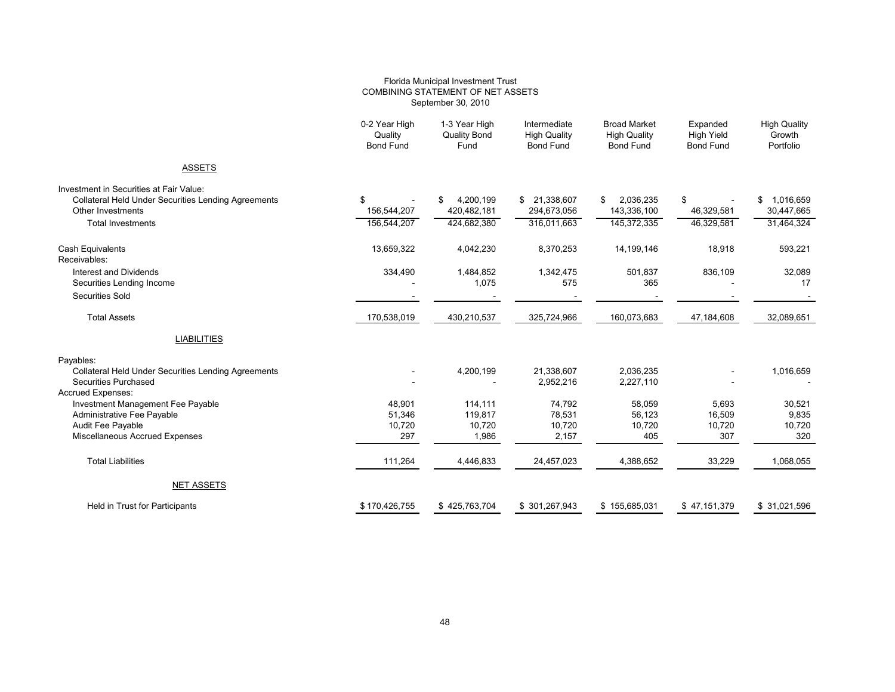#### Florida Municipal Investment Trust COMBINING STATEMENT OF NET ASSETS September 30, 2010

|                                                                                    | 0-2 Year High<br>Quality<br><b>Bond Fund</b> | 1-3 Year High<br><b>Quality Bond</b><br>Fund | Intermediate<br><b>High Quality</b><br><b>Bond Fund</b> | <b>Broad Market</b><br><b>High Quality</b><br><b>Bond Fund</b> | Expanded<br><b>High Yield</b><br><b>Bond Fund</b> | <b>High Quality</b><br>Growth<br>Portfolio |
|------------------------------------------------------------------------------------|----------------------------------------------|----------------------------------------------|---------------------------------------------------------|----------------------------------------------------------------|---------------------------------------------------|--------------------------------------------|
| <b>ASSETS</b>                                                                      |                                              |                                              |                                                         |                                                                |                                                   |                                            |
| Investment in Securities at Fair Value:                                            |                                              |                                              |                                                         |                                                                |                                                   |                                            |
| <b>Collateral Held Under Securities Lending Agreements</b><br>Other Investments    | \$<br>156,544,207                            | 4,200,199<br>\$<br>420,482,181               | \$ 21,338,607<br>294,673,056                            | 2,036,235<br>\$<br>143,336,100                                 | \$<br>46,329,581                                  | 1,016,659<br>\$<br>30,447,665              |
| <b>Total Investments</b>                                                           | 156,544,207                                  | 424,682,380                                  | 316,011,663                                             | 145,372,335                                                    | 46,329,581                                        | 31,464,324                                 |
| <b>Cash Equivalents</b><br>Receivables:                                            | 13,659,322                                   | 4,042,230                                    | 8,370,253                                               | 14,199,146                                                     | 18,918                                            | 593,221                                    |
| <b>Interest and Dividends</b><br>Securities Lending Income                         | 334,490                                      | 1,484,852<br>1,075                           | 1,342,475<br>575                                        | 501,837<br>365                                                 | 836,109                                           | 32,089<br>17                               |
| <b>Securities Sold</b>                                                             |                                              |                                              |                                                         |                                                                |                                                   |                                            |
| <b>Total Assets</b>                                                                | 170,538,019                                  | 430,210,537                                  | 325,724,966                                             | 160,073,683                                                    | 47,184,608                                        | 32,089,651                                 |
| <b>LIABILITIES</b>                                                                 |                                              |                                              |                                                         |                                                                |                                                   |                                            |
| Payables:                                                                          |                                              |                                              |                                                         |                                                                |                                                   |                                            |
| <b>Collateral Held Under Securities Lending Agreements</b><br>Securities Purchased |                                              | 4,200,199                                    | 21,338,607<br>2,952,216                                 | 2,036,235<br>2,227,110                                         |                                                   | 1,016,659                                  |
| <b>Accrued Expenses:</b>                                                           |                                              |                                              |                                                         |                                                                |                                                   |                                            |
| Investment Management Fee Payable                                                  | 48,901                                       | 114,111<br>119,817                           | 74,792<br>78,531                                        | 58,059<br>56,123                                               | 5,693                                             | 30,521                                     |
| Administrative Fee Payable<br>Audit Fee Payable                                    | 51,346<br>10,720                             | 10,720                                       | 10,720                                                  | 10,720                                                         | 16,509<br>10,720                                  | 9,835<br>10,720                            |
| Miscellaneous Accrued Expenses                                                     | 297                                          | 1,986                                        | 2,157                                                   | 405                                                            | 307                                               | 320                                        |
| <b>Total Liabilities</b>                                                           | 111,264                                      | 4,446,833                                    | 24,457,023                                              | 4,388,652                                                      | 33,229                                            | 1,068,055                                  |
| <b>NET ASSETS</b>                                                                  |                                              |                                              |                                                         |                                                                |                                                   |                                            |
| Held in Trust for Participants                                                     | \$170,426,755                                | \$425,763,704                                | \$301,267,943                                           | \$155,685,031                                                  | \$47,151,379                                      | \$31,021,596                               |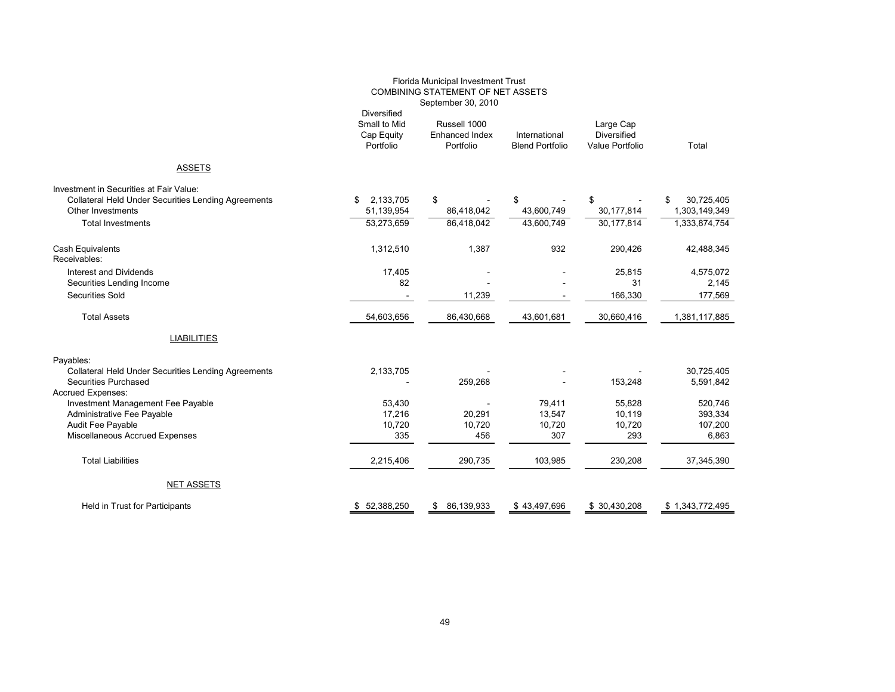#### Diversified Florida Municipal Investment Trust COMBINING STATEMENT OF NET ASSETS September 30, 2010

| <b>ASSETS</b><br>Investment in Securities at Fair Value:<br>2,133,705<br>\$<br><b>Collateral Held Under Securities Lending Agreements</b><br>\$<br>\$<br>\$<br>86,418,042<br>43,600,749<br>30,177,814<br>Other Investments<br>51,139,954 |                                  |
|------------------------------------------------------------------------------------------------------------------------------------------------------------------------------------------------------------------------------------------|----------------------------------|
|                                                                                                                                                                                                                                          |                                  |
|                                                                                                                                                                                                                                          |                                  |
|                                                                                                                                                                                                                                          | 30,725,405<br>S<br>1,303,149,349 |
| 30,177,814<br>53,273,659<br>86,418,042<br>43,600,749<br><b>Total Investments</b>                                                                                                                                                         | 1,333,874,754                    |
| 1,312,510<br>1,387<br>932<br>Cash Equivalents<br>290,426<br>Receivables:                                                                                                                                                                 | 42,488,345                       |
| Interest and Dividends<br>17,405<br>25,815                                                                                                                                                                                               | 4,575,072                        |
| 82<br>31<br>Securities Lending Income                                                                                                                                                                                                    | 2,145                            |
| 11,239<br>166,330<br>Securities Sold                                                                                                                                                                                                     | 177,569                          |
| <b>Total Assets</b><br>54,603,656<br>86,430,668<br>43,601,681<br>30,660,416                                                                                                                                                              | 1,381,117,885                    |
| <b>LIABILITIES</b>                                                                                                                                                                                                                       |                                  |
| Payables:                                                                                                                                                                                                                                |                                  |
| 2,133,705<br><b>Collateral Held Under Securities Lending Agreements</b>                                                                                                                                                                  | 30,725,405                       |
| 153,248<br><b>Securities Purchased</b><br>259,268                                                                                                                                                                                        | 5,591,842                        |
| <b>Accrued Expenses:</b>                                                                                                                                                                                                                 |                                  |
| Investment Management Fee Payable<br>53,430<br>79,411<br>55,828<br>Administrative Fee Payable<br>17,216<br>20,291<br>13,547<br>10,119                                                                                                    | 520,746<br>393,334               |
| Audit Fee Payable<br>10,720<br>10,720<br>10,720<br>10,720                                                                                                                                                                                | 107,200                          |
| 335<br>307<br>293<br>Miscellaneous Accrued Expenses<br>456                                                                                                                                                                               | 6,863                            |
| <b>Total Liabilities</b><br>290,735<br>103,985<br>230,208<br>2,215,406                                                                                                                                                                   | 37,345,390                       |
| <b>NET ASSETS</b>                                                                                                                                                                                                                        |                                  |
| \$52,388,250<br><b>Held in Trust for Participants</b><br>86,139,933<br>\$43,497,696<br>\$30,430,208<br>\$                                                                                                                                | \$1,343,772,495                  |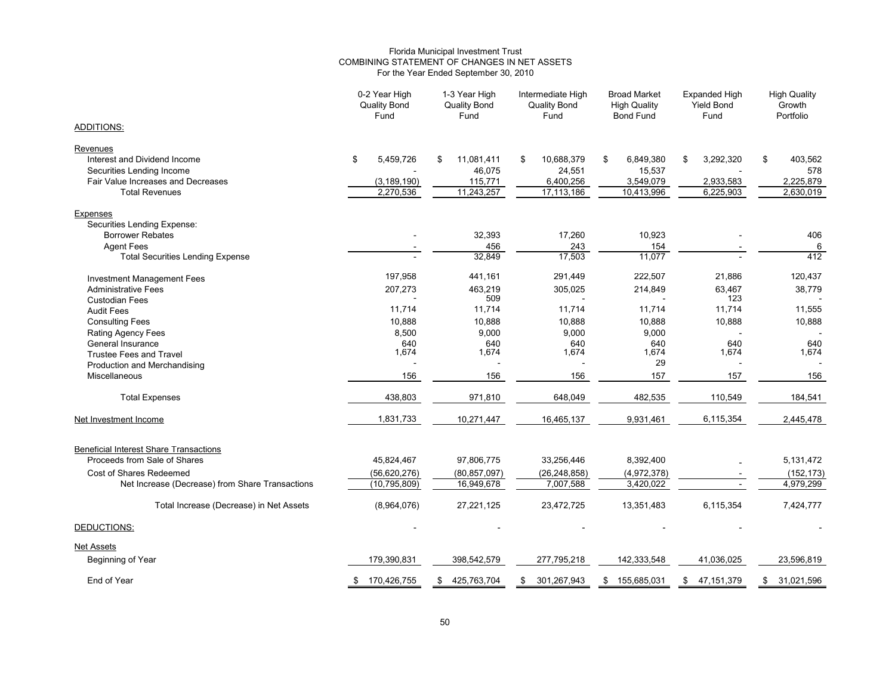#### Florida Municipal Investment Trust COMBINING STATEMENT OF CHANGES IN NET ASSETS For the Year Ended September 30, 2010

|                                                 |    | 0-2 Year High<br><b>Quality Bond</b><br>Fund |    | 1-3 Year High<br><b>Quality Bond</b><br>Fund |    | Intermediate High<br><b>Quality Bond</b><br>Fund | <b>Broad Market</b><br><b>High Quality</b><br><b>Bond Fund</b> | <b>Expanded High</b><br>Yield Bond<br>Fund | <b>High Quality</b><br>Growth<br>Portfolio |            |
|-------------------------------------------------|----|----------------------------------------------|----|----------------------------------------------|----|--------------------------------------------------|----------------------------------------------------------------|--------------------------------------------|--------------------------------------------|------------|
| <b>ADDITIONS:</b>                               |    |                                              |    |                                              |    |                                                  |                                                                |                                            |                                            |            |
| Revenues                                        |    |                                              |    |                                              |    |                                                  |                                                                |                                            |                                            |            |
| Interest and Dividend Income                    | \$ | 5,459,726                                    | S  | 11,081,411                                   | \$ | 10,688,379                                       | \$<br>6,849,380                                                | \$<br>3,292,320                            | \$                                         | 403,562    |
| Securities Lending Income                       |    |                                              |    | 46,075                                       |    | 24,551                                           | 15,537                                                         |                                            |                                            | 578        |
| Fair Value Increases and Decreases              |    | (3, 189, 190)                                |    | 115,771                                      |    | 6,400,256                                        | 3,549,079                                                      | 2,933,583                                  |                                            | 2,225,879  |
| <b>Total Revenues</b>                           |    | 2,270,536                                    |    | 11,243,257                                   |    | 17,113,186                                       | 10,413,996                                                     | 6,225,903                                  |                                            | 2,630,019  |
| Expenses                                        |    |                                              |    |                                              |    |                                                  |                                                                |                                            |                                            |            |
| Securities Lending Expense:                     |    |                                              |    |                                              |    |                                                  |                                                                |                                            |                                            |            |
| <b>Borrower Rebates</b>                         |    |                                              |    | 32,393                                       |    | 17,260                                           | 10,923                                                         |                                            |                                            | 406        |
| <b>Agent Fees</b>                               |    |                                              |    | 456                                          |    | 243                                              | 154                                                            |                                            |                                            | 6          |
| <b>Total Securities Lending Expense</b>         |    |                                              |    | 32,849                                       |    | 17,503                                           | 11,077                                                         |                                            |                                            | 412        |
| <b>Investment Management Fees</b>               |    | 197,958                                      |    | 441,161                                      |    | 291,449                                          | 222,507                                                        | 21,886                                     |                                            | 120,437    |
| <b>Administrative Fees</b>                      |    | 207,273                                      |    | 463,219<br>509                               |    | 305,025                                          | 214,849                                                        | 63,467<br>123                              |                                            | 38,779     |
| <b>Custodian Fees</b><br><b>Audit Fees</b>      |    | 11,714                                       |    | 11,714                                       |    | 11,714                                           | 11,714                                                         | 11,714                                     |                                            | 11,555     |
| <b>Consulting Fees</b>                          |    | 10,888                                       |    | 10,888                                       |    | 10,888                                           | 10,888                                                         | 10,888                                     |                                            | 10,888     |
| Rating Agency Fees                              |    | 8,500                                        |    | 9,000                                        |    | 9,000                                            | 9,000                                                          |                                            |                                            |            |
| General Insurance                               |    | 640                                          |    | 640                                          |    | 640                                              | 640                                                            | 640                                        |                                            | 640        |
| <b>Trustee Fees and Travel</b>                  |    | 1,674                                        |    | 1,674                                        |    | 1,674                                            | 1,674                                                          | 1,674                                      |                                            | 1,674      |
| Production and Merchandising                    |    |                                              |    |                                              |    |                                                  | 29                                                             |                                            |                                            |            |
| Miscellaneous                                   |    | 156                                          |    | 156                                          |    | 156                                              | 157                                                            | 157                                        |                                            | 156        |
| <b>Total Expenses</b>                           |    | 438,803                                      |    | 971,810                                      |    | 648,049                                          | 482,535                                                        | 110,549                                    |                                            | 184,541    |
| Net Investment Income                           |    | 1,831,733                                    |    | 10,271,447                                   |    | 16,465,137                                       | 9,931,461                                                      | 6,115,354                                  |                                            | 2,445,478  |
|                                                 |    |                                              |    |                                              |    |                                                  |                                                                |                                            |                                            |            |
| <b>Beneficial Interest Share Transactions</b>   |    |                                              |    |                                              |    |                                                  |                                                                |                                            |                                            |            |
| Proceeds from Sale of Shares                    |    | 45,824,467                                   |    | 97,806,775                                   |    | 33,256,446                                       | 8,392,400                                                      |                                            |                                            | 5,131,472  |
| Cost of Shares Redeemed                         |    | (56, 620, 276)                               |    | (80, 857, 097)                               |    | (26, 248, 858)                                   | (4,972,378)                                                    |                                            |                                            | (152, 173) |
| Net Increase (Decrease) from Share Transactions |    | (10, 795, 809)                               |    | 16,949,678                                   |    | 7,007,588                                        | 3,420,022                                                      |                                            |                                            | 4,979,299  |
| Total Increase (Decrease) in Net Assets         |    | (8,964,076)                                  |    | 27,221,125                                   |    | 23,472,725                                       | 13,351,483                                                     | 6,115,354                                  |                                            | 7,424,777  |
| DEDUCTIONS:                                     |    |                                              |    |                                              |    |                                                  |                                                                |                                            |                                            |            |
| <b>Net Assets</b>                               |    |                                              |    |                                              |    |                                                  |                                                                |                                            |                                            |            |
| Beginning of Year                               |    | 179,390,831                                  |    | 398,542,579                                  |    | 277,795,218                                      | 142,333,548                                                    | 41,036,025                                 |                                            | 23,596,819 |
| End of Year                                     | S. | 170,426,755                                  | \$ | 425,763,704                                  | S  | 301,267,943                                      | \$<br>155,685,031                                              | \$<br>47,151,379                           | \$                                         | 31,021,596 |